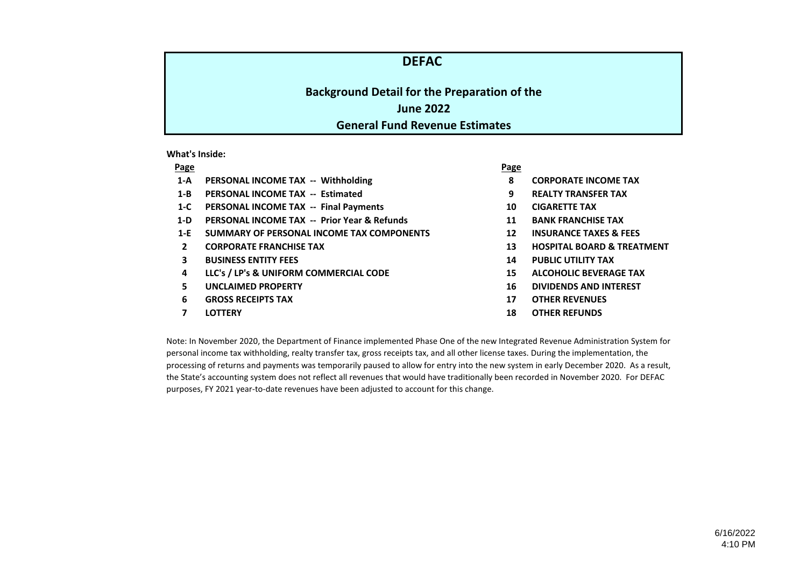# **DEFAC**

# **Background Detail for the Preparation of the June 2022 General Fund Revenue Estimates**

**What's Inside:**

- **1-A PERSONAL INCOME TAX -- Withholding 8 CORPORATE INCOME TAX**
- **1-B PERSONAL INCOME TAX -- Estimated 9 REALTY TRANSFER TAX**
- **1-C PERSONAL INCOME TAX -- Final Payments 10 CIGARETTE TAX**
- **1-D PERSONAL INCOME TAX -- Prior Year & Refunds 11 BANK FRANCHISE TAX**
- **1-E SUMMARY OF PERSONAL INCOME TAX COMPONENTS 12 INSURANCE TAXES & FEES**
- 
- **3 BUSINESS ENTITY FEES 14 PUBLIC UTILITY TAX**
- **4 LLC's / LP's & UNIFORM COMMERCIAL CODE 15 ALCOHOLIC BEVERAGE TAX**
- 
- **6 GROSS RECEIPTS TAX 17 OTHER REVENUES**
- 

**Page Page**

- 
- 
- 
- 
- 
- **2 CORPORATE FRANCHISE TAX 13 HOSPITAL BOARD & TREATMENT**
	-
	-
- **5 UNCLAIMED PROPERTY 16 DIVIDENDS AND INTEREST**
	-
- **7 LOTTERY 18 OTHER REFUNDS**

Note: In November 2020, the Department of Finance implemented Phase One of the new Integrated Revenue Administration System for personal income tax withholding, realty transfer tax, gross receipts tax, and all other license taxes. During the implementation, the processing of returns and payments was temporarily paused to allow for entry into the new system in early December 2020. As a result, the State's accounting system does not reflect all revenues that would have traditionally been recorded in November 2020. For DEFAC purposes, FY 2021 year-to-date revenues have been adjusted to account for this change.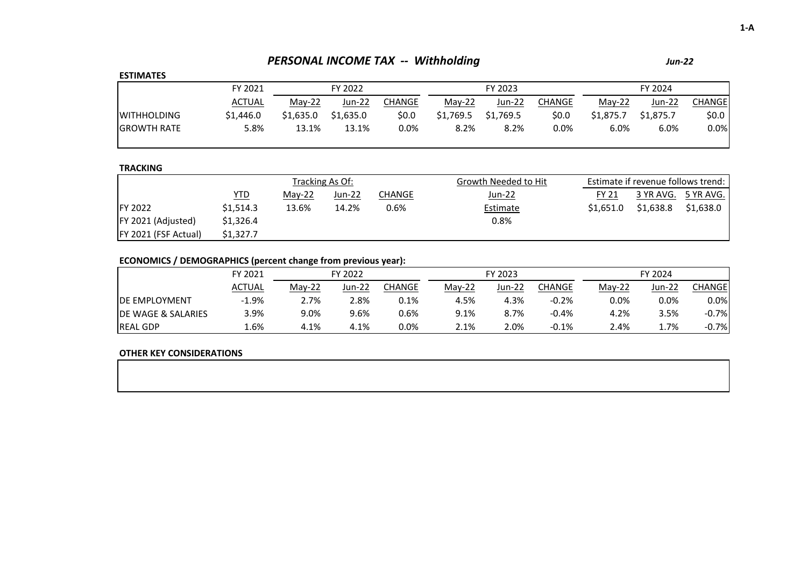# *PERSONAL INCOME TAX -- Withholding*

## **ESTIMATES**

| _ _                 |           |           |           |        |           |           |         |           |           |         |
|---------------------|-----------|-----------|-----------|--------|-----------|-----------|---------|-----------|-----------|---------|
|                     | FY 2021   |           | FY 2022   |        |           | FY 2023   |         | FY 2024   |           |         |
|                     | ACTUAL    | $Mav-22$  | Jun-22    | CHANGE | $Mav-22$  | Jun-22    | CHANGE  | $Mav-22$  | Jun-22    | CHANGE  |
| <b>IWITHHOLDING</b> | \$1,446.0 | \$1.635.0 | \$1,635.0 | \$0.0  | \$1,769.5 | \$1.769.5 | 50.0    | \$1.875.7 | \$1,875.7 | \$0.0\$ |
| <b>IGROWTH RATE</b> | 5.8%      | 13.1%     | 13.1%     | 0.0%   | 8.2%      | 8.2%      | $0.0\%$ | 6.0%      | 6.0%      | 0.0%    |
|                     |           |           |           |        |           |           |         |           |           |         |

## **TRACKING**

|                      |            |        | Tracking As Of: |        | Growth Needed to Hit | Estimate if revenue follows trend: |           |           |  |
|----------------------|------------|--------|-----------------|--------|----------------------|------------------------------------|-----------|-----------|--|
|                      | <u>YTD</u> | May-22 | Jun-22          | CHANGE | <u>Jun-22</u>        | <b>FY 21</b>                       | 3 YR AVG. | 5 YR AVG. |  |
| <b>IFY 2022</b>      | \$1,514.3  | 13.6%  | 14.2%           | 0.6%   | Estimate             | \$1.651.0                          | \$1,638.8 | \$1,638.0 |  |
| FY 2021 (Adjusted)   | \$1,326.4  |        |                 |        | 0.8%                 |                                    |           |           |  |
| FY 2021 (FSF Actual) | \$1.327.7  |        |                 |        |                      |                                    |           |           |  |

# **ECONOMICS / DEMOGRAPHICS (percent change from previous year):**

|                                | FY 2021       |          | FY 2022 |        |          | FY 2023 |         | FY 2024  |          |         |
|--------------------------------|---------------|----------|---------|--------|----------|---------|---------|----------|----------|---------|
|                                | <b>ACTUAL</b> | $May-22$ | Jun-22  | CHANGE | $Mav-22$ | Jun-22  | CHANGE  | $Mav-22$ | $Jun-22$ | CHANGEI |
| <b>IDE EMPLOYMENT</b>          | $-1.9%$       | 2.7%     | 2.8%    | 0.1%   | 4.5%     | 4.3%    | $-0.2%$ | $0.0\%$  | 0.0%     | 0.0%    |
| <b>IDE WAGE &amp; SALARIES</b> | 3.9%          | 9.0%     | 9.6%    | 0.6%   | 9.1%     | 8.7%    | $-0.4%$ | 4.2%     | 3.5%     | $-0.7%$ |
| <b>REAL GDP</b>                | .6%،          | 4.1%     | 4.1%    | 0.0%   | 2.1%     | 2.0%    | $-0.1%$ | 2.4%     | 1.7%     | $-0.7%$ |

## **OTHER KEY CONSIDERATIONS**

*Jun-22*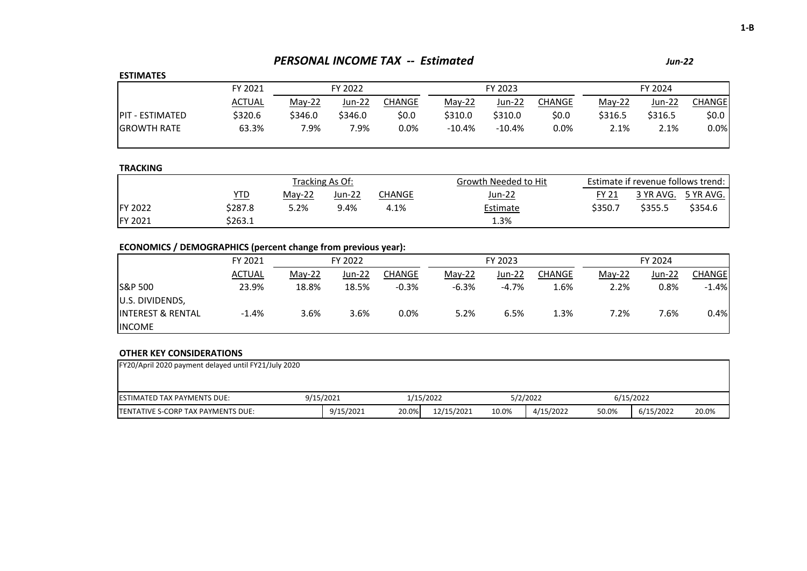# *PERSONAL INCOME TAX -- Estimated Jun-22*

## **ESTIMATES**

| ------------            |               |          |         |         |           |          |        |          |         |         |  |
|-------------------------|---------------|----------|---------|---------|-----------|----------|--------|----------|---------|---------|--|
|                         | FY 2021       | FY 2022  |         |         |           | FY 2023  |        | FY 2024  |         |         |  |
|                         | <b>ACTUAL</b> | $May-22$ | Jun-22  | CHANGE  | $Mav-22$  | Jun-22   | CHANGE | $Mav-22$ | Jun-22  | CHANGEI |  |
| <b>IPIT - ESTIMATED</b> | \$320.6       | \$346.0  | \$346.0 | \$0.0   | \$310.0   | \$310.0  | \$0.0  | \$316.5  | \$316.5 | \$0.0   |  |
| <b>IGROWTH RATE</b>     | 63.3%         | 7.9%     | 7.9%    | $0.0\%$ | $-10.4\%$ | $-10.4%$ | 0.0%   | 2.1%     | 2.1%    | $0.0\%$ |  |
|                         |               |          |         |         |           |          |        |          |         |         |  |

## **TRACKING**

|                 |         |          | Tracking As Of: |        | Growth Needed to Hit |         | Estimate if revenue follows trend: |                     |
|-----------------|---------|----------|-----------------|--------|----------------------|---------|------------------------------------|---------------------|
|                 | YTD     | $Mav-22$ | Jun-22          | ∩HANGE | Jun-22               | FY 21   |                                    | 3 YR AVG. 5 YR AVG. |
| <b>IFY 2022</b> | \$287.8 | 5.2%     | 9.4%            | 4.1%   | Estimate             | \$350.7 | \$355.5                            | \$354.6             |
| FY 2021         | \$263.1 |          |                 |        | 1.3%                 |         |                                    |                     |

# **ECONOMICS / DEMOGRAPHICS (percent change from previous year):**

|                               | FY 2021<br>FY 2022 |          |        |         | FY 2023  |         | FY 2024 |          |        |               |
|-------------------------------|--------------------|----------|--------|---------|----------|---------|---------|----------|--------|---------------|
|                               | <b>ACTUAL</b>      | $May-22$ | Jun-22 | CHANGE  | $Mav-22$ | Jun-22  | CHANGE  | $May-22$ | Jun-22 | <b>CHANGE</b> |
| S&P 500                       | 23.9%              | 18.8%    | 18.5%  | $-0.3%$ | $-6.3%$  | $-4.7%$ | 1.6%    | 2.2%     | 0.8%   | $-1.4%$       |
| <b>JU.S. DIVIDENDS,</b>       |                    |          |        |         |          |         |         |          |        |               |
| <b>IINTEREST &amp; RENTAL</b> | $-1.4%$            | 3.6%     | 3.6%   | $0.0\%$ | 5.2%     | 6.5%    | 1.3%    | 7.2%     | 7.6%   | 0.4%          |
| <b>INCOME</b>                 |                    |          |        |         |          |         |         |          |        |               |

| FY20/April 2020 payment delayed until FY21/July 2020 |           |           |  |           |            |       |           |       |           |       |  |
|------------------------------------------------------|-----------|-----------|--|-----------|------------|-------|-----------|-------|-----------|-------|--|
|                                                      |           |           |  |           |            |       |           |       |           |       |  |
| <b>IESTIMATED TAX PAYMENTS DUE:</b>                  | 9/15/2021 |           |  | 1/15/2022 |            |       | 5/2/2022  |       | 6/15/2022 |       |  |
| <b>ITENTATIVE S-CORP TAX PAYMENTS DUE:</b>           |           | 9/15/2021 |  | 20.0%     | 12/15/2021 | 10.0% | 4/15/2022 | 50.0% | 6/15/2022 | 20.0% |  |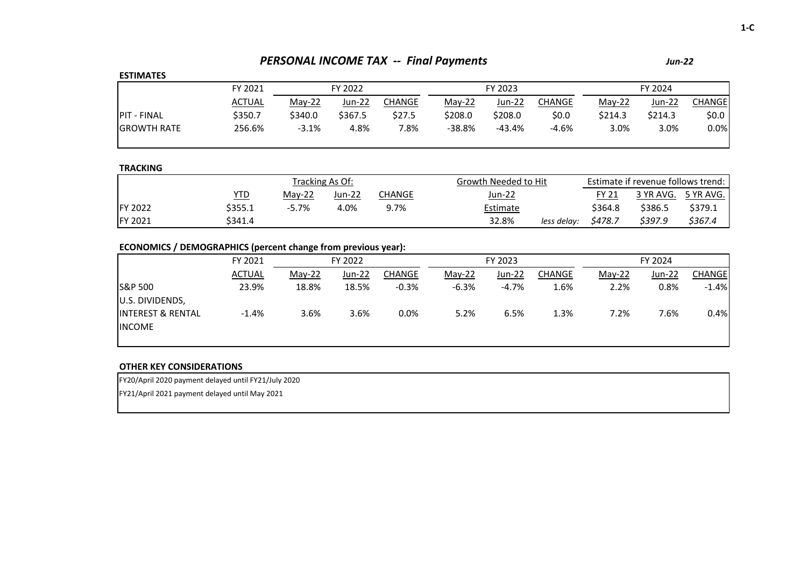# *PERSONAL INCOME TAX -- Final Payments Jun-22*

## **ESTIMATES**

| FY 2021       |          | FY 2022 |        |          | FY 2023 |        |         | FY 2024 |        |  |
|---------------|----------|---------|--------|----------|---------|--------|---------|---------|--------|--|
| <u>ACTUAL</u> | $Mav-22$ | Jun-22  | CHANGE | $Mav-22$ | Jun-22  | CHANGE | May-22  | Jun-22  | CHANGE |  |
| \$350.7       | \$340.0  | \$367.5 | \$27.5 | \$208.0  | \$208.0 | \$0.0  | \$214.3 | \$214.3 | \$0.0  |  |
| 256.6%        | $-3.1%$  | 4.8%    | 7.8%   | -38.8%   | -43.4%  | -4.6%  | 3.0%    | 3.0%    | 0.0%   |  |
|               |          |         |        |          |         |        |         |         |        |  |

## **TRACKING**

|                 |         |          | Tracking As Of: |        | Growth Needed to Hit |         | Estimate if revenue follows trend: |                     |  |  |
|-----------------|---------|----------|-----------------|--------|----------------------|---------|------------------------------------|---------------------|--|--|
|                 | YTD     | $Mav-22$ | $Jun-22$        | CHANGE | Jun-22               | FY 21   |                                    | 3 YR AVG. 5 YR AVG. |  |  |
| <b>IFY 2022</b> | \$355.1 | $-5.7%$  | 4.0%            | 9.7%   | Estimate             | \$364.8 | \$386.5                            | \$379.1             |  |  |
| <b>FY 2021</b>  | \$341.4 |          |                 |        | 32.8%<br>less delav: | \$478.7 | \$397.9                            | \$367.4             |  |  |

# **ECONOMICS / DEMOGRAPHICS (percent change from previous year):**

|                              | FY 2021       |        | FY 2022 |         |         | FY 2023 |               | FY 2024  |         |               |  |
|------------------------------|---------------|--------|---------|---------|---------|---------|---------------|----------|---------|---------------|--|
|                              | <b>ACTUAL</b> | May-22 | Jun-22  | CHANGE  | May-22  | Jun-22  | <b>CHANGE</b> | $Mav-22$ | Jun-22  | <b>CHANGE</b> |  |
| <b>S&amp;P 500</b>           | 23.9%         | 18.8%  | 18.5%   | $-0.3%$ | $-6.3%$ | $-4.7%$ | 1.6%          | 2.2%     | $0.8\%$ | $-1.4%$       |  |
| U.S. DIVIDENDS,              |               |        |         |         |         |         |               |          |         |               |  |
| <b>INTEREST &amp; RENTAL</b> | $-1.4%$       | 3.6%   | 3.6%    | $0.0\%$ | 5.2%    | 6.5%    | 1.3%          | 7.2%     | 7.6%    | 0.4%          |  |
| <b>INCOME</b>                |               |        |         |         |         |         |               |          |         |               |  |
|                              |               |        |         |         |         |         |               |          |         |               |  |

## **OTHER KEY CONSIDERATIONS**

FY20/April 2020 payment delayed until FY21/July 2020

FY21/April 2021 payment delayed until May 2021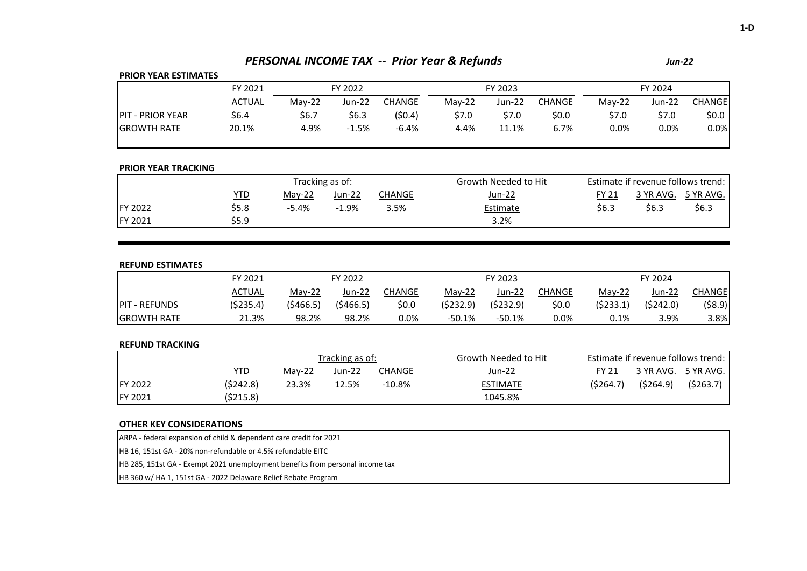# *PERSONAL INCOME TAX -- Prior Year & Refunds Jun-22*

## **PRIOR YEAR ESTIMATES**

|                          | FY 2021 | FY 2022  |         |         |          | FY 2023 |        | FY 2024  |        |                    |
|--------------------------|---------|----------|---------|---------|----------|---------|--------|----------|--------|--------------------|
|                          | ACTUAL  | $May-22$ | Jun-22  | CHANGE  | $Mav-22$ | Jun-22  | CHANGE | $Mav-22$ | Jun-22 | CHANGEl            |
| <b>IPIT - PRIOR YEAR</b> | \$6.4   | \$6.7    | \$6.3   | (50.4)  | \$7.0    | \$7.0   | \$0.0  | \$7.0    | \$7.0  | \$0.0 <sub>1</sub> |
| <b>IGROWTH RATE</b>      | 20.1%   | 4.9%     | $-1.5%$ | $-6.4%$ | 4.4%     | 11.1%   | 6.7%   | 0.0%     | 0.0%   | 0.0%               |

## **PRIOR YEAR TRACKING**

|                 |       |          | Tracking as of:  |      | Growth Needed to Hit |       | Estimate if revenue follows trend: |           |
|-----------------|-------|----------|------------------|------|----------------------|-------|------------------------------------|-----------|
|                 | YTD   | $Mav-22$ | Jun-22<br>CHANGE |      | <u>Jun-22</u>        | FY 21 | 3 YR AVG.                          | 5 YR AVG. |
| <b>IFY 2022</b> | \$5.8 | $-5.4%$  | $-1.9%$          | 3.5% | Estimate             | \$6.3 | \$6.3                              | \$6.3     |
| FY 2021         | \$5.9 |          |                  |      | 3.2%                 |       |                                    |           |

#### **REFUND ESTIMATES**

|                       | FY 2021   | FY 2022    |          |        |           | FY 2023   |               | FY 2024   |           |         |
|-----------------------|-----------|------------|----------|--------|-----------|-----------|---------------|-----------|-----------|---------|
|                       | ACTUAL    | $Mav-22$   | Jun-22   | CHANGE | $Mav-22$  | Jun-22    | <b>CHANGE</b> | $Mav-22$  | Jun-22    | CHANGEI |
| <b>IPIT - REFUNDS</b> | (\$235.4) | ( \$466.5) | (5466.5) | \$0.0  | (5232.9)  | (\$232.9) | \$0.0         | (\$233.1) | (\$242.0) | (\$8.9) |
| <b>IGROWTH RATE</b>   | 21.3%     | 98.2%      | 98.2%    | 0.0%   | $-50.1\%$ | $-50.1%$  | $0.0\%$       | 0.1%      | 3.9%      | 3.8%    |

#### **REFUND TRACKING**

|                 |           |        | Tracking as of: |           | Growth Needed to Hit |           | Estimate if revenue follows trend: |                     |
|-----------------|-----------|--------|-----------------|-----------|----------------------|-----------|------------------------------------|---------------------|
|                 | YTD       | May-22 | Jun-22          | CHANGE    | Jun-22               | FY 21     |                                    | 3 YR AVG. 5 YR AVG. |
| <b>IFY 2022</b> | (\$242.8) | 23.3%  | 12.5%           | $-10.8\%$ | <b>ESTIMATE</b>      | (\$264.7) | (5264.9)                           | (\$263.7)           |
| <b>FY 2021</b>  | (\$215.8) |        |                 |           | 1045.8%              |           |                                    |                     |

#### **OTHER KEY CONSIDERATIONS**

ARPA - federal expansion of child & dependent care credit for 2021

HB 16, 151st GA - 20% non-refundable or 4.5% refundable EITC

HB 285, 151st GA - Exempt 2021 unemployment benefits from personal income tax

HB 360 w/ HA 1, 151st GA - 2022 Delaware Relief Rebate Program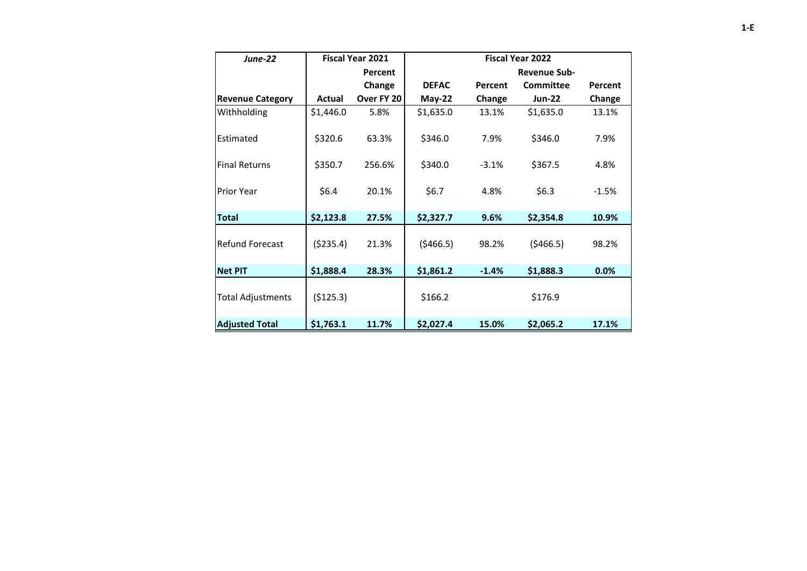| <b>June-22</b>           |            | <b>Fiscal Year 2021</b> | <b>Fiscal Year 2022</b> |         |                     |         |  |  |
|--------------------------|------------|-------------------------|-------------------------|---------|---------------------|---------|--|--|
|                          |            | Percent                 |                         |         | <b>Revenue Sub-</b> |         |  |  |
|                          |            | Change                  | <b>DEFAC</b>            | Percent | Committee           | Percent |  |  |
| <b>Revenue Category</b>  | Actual     | Over FY 20              | $May-22$                | Change  | <b>Jun-22</b>       | Change  |  |  |
| Withholding              | \$1,446.0  | 5.8%                    | \$1,635.0               | 13.1%   | \$1,635.0           | 13.1%   |  |  |
| Estimated                | \$320.6    | 63.3%                   | \$346.0                 | 7.9%    | \$346.0             | 7.9%    |  |  |
| <b>Final Returns</b>     | \$350.7    | 256.6%                  | \$340.0                 | $-3.1%$ | \$367.5             | 4.8%    |  |  |
| <b>Prior Year</b>        | \$6.4      | 20.1%                   | \$6.7                   | 4.8%    | \$6.3\$             | $-1.5%$ |  |  |
| <b>Total</b>             | \$2,123.8  | 27.5%                   | \$2,327.7               | 9.6%    | \$2,354.8           | 10.9%   |  |  |
| <b>Refund Forecast</b>   | ( \$235.4) | 21.3%                   | (5466.5)                | 98.2%   | (5466.5)            | 98.2%   |  |  |
| <b>Net PIT</b>           | \$1,888.4  | 28.3%                   | \$1,861.2               | $-1.4%$ | \$1,888.3           | 0.0%    |  |  |
| <b>Total Adjustments</b> | (5125.3)   |                         | \$166.2                 |         | \$176.9             |         |  |  |
| <b>Adjusted Total</b>    | \$1,763.1  | 11.7%                   | \$2,027.4               | 15.0%   | \$2,065.2           | 17.1%   |  |  |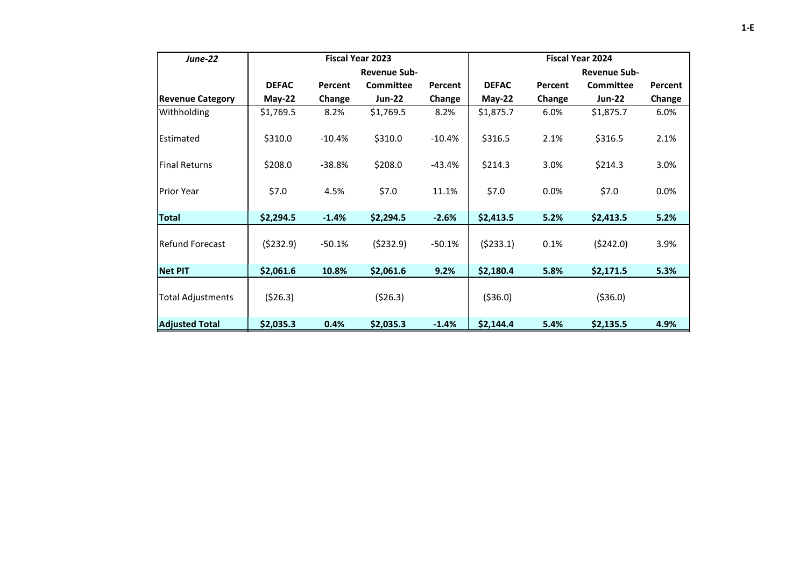| <b>June-22</b>           |              |          | <b>Fiscal Year 2023</b> |          | <b>Fiscal Year 2024</b> |         |                     |         |  |
|--------------------------|--------------|----------|-------------------------|----------|-------------------------|---------|---------------------|---------|--|
|                          |              |          | <b>Revenue Sub-</b>     |          |                         |         | <b>Revenue Sub-</b> |         |  |
|                          | <b>DEFAC</b> | Percent  | Committee               | Percent  | <b>DEFAC</b>            | Percent | Committee           | Percent |  |
| <b>Revenue Category</b>  | $May-22$     | Change   | <b>Jun-22</b>           | Change   | $May-22$                | Change  | <b>Jun-22</b>       | Change  |  |
| Withholding              | \$1,769.5    | 8.2%     | \$1,769.5               | 8.2%     | \$1,875.7               | 6.0%    | \$1,875.7           | 6.0%    |  |
| Estimated                | \$310.0      | $-10.4%$ | \$310.0                 | $-10.4%$ | \$316.5                 | 2.1%    | \$316.5             | 2.1%    |  |
| <b>Final Returns</b>     | \$208.0      | $-38.8%$ | \$208.0                 | $-43.4%$ | \$214.3                 | 3.0%    | \$214.3             | 3.0%    |  |
| <b>Prior Year</b>        | \$7.0        | 4.5%     | \$7.0                   | 11.1%    | \$7.0                   | 0.0%    | \$7.0               | 0.0%    |  |
| Total                    | \$2,294.5    | $-1.4%$  | \$2,294.5               | $-2.6%$  | \$2,413.5               | 5.2%    | \$2,413.5           | 5.2%    |  |
| <b>Refund Forecast</b>   | (5232.9)     | $-50.1%$ | (5232.9)                | $-50.1%$ | (5233.1)                | 0.1%    | (5242.0)            | 3.9%    |  |
| <b>Net PIT</b>           | \$2,061.6    | 10.8%    | \$2,061.6               | 9.2%     | \$2,180.4               | 5.8%    | \$2,171.5           | 5.3%    |  |
| <b>Total Adjustments</b> | (526.3)      |          | (526.3)                 |          | ( \$36.0)               |         | ( \$36.0)           |         |  |
| <b>Adjusted Total</b>    | \$2,035.3    | 0.4%     | \$2,035.3               | $-1.4%$  | \$2,144.4               | 5.4%    | \$2,135.5           | 4.9%    |  |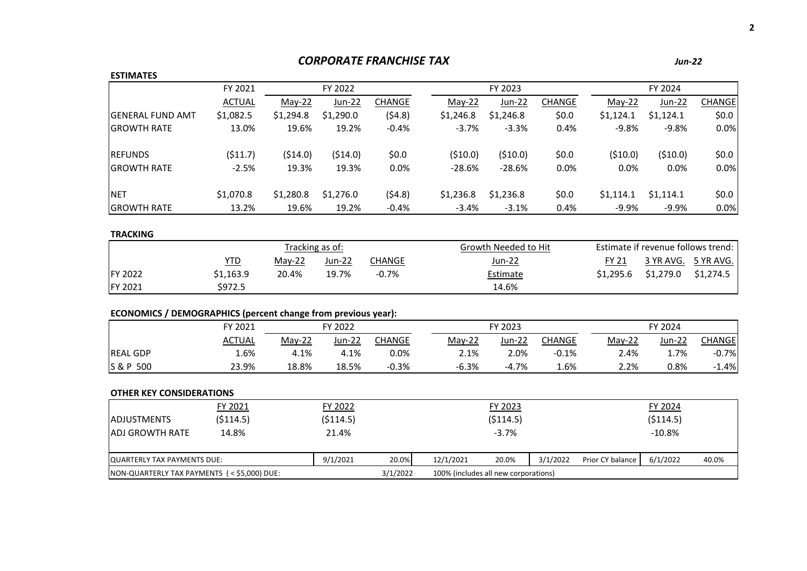# *CORPORATE FRANCHISE TAX Jun-22*

#### **ESTIMATES**

|                          | FY 2021       | FY 2022   |               |         |           | FY 2023       |               |           | FY 2024   |               |  |
|--------------------------|---------------|-----------|---------------|---------|-----------|---------------|---------------|-----------|-----------|---------------|--|
|                          | <b>ACTUAL</b> | $May-22$  | <b>Jun-22</b> | CHANGE  | $May-22$  | <b>Jun-22</b> | <b>CHANGE</b> | May-22    | Jun-22    | <b>CHANGE</b> |  |
| <b>IGENERAL FUND AMT</b> | \$1,082.5     | \$1,294.8 | \$1,290.0     | (54.8)  | \$1,246.8 | \$1,246.8     | \$0.0         | \$1,124.1 | \$1,124.1 | \$0.0\$       |  |
| <b>IGROWTH RATE</b>      | 13.0%         | 19.6%     | 19.2%         | $-0.4%$ | $-3.7%$   | $-3.3%$       | 0.4%          | $-9.8%$   | $-9.8%$   | 0.0%          |  |
| <b>IREFUNDS</b>          | (511.7)       | (514.0)   | (514.0)       | \$0.0\$ | (510.0)   | (510.0)       | \$0.0         | (510.0)   | (510.0)   | \$0.0         |  |
| <b>IGROWTH RATE</b>      | $-2.5%$       | 19.3%     | 19.3%         | 0.0%    | $-28.6%$  | $-28.6%$      | 0.0%          | 0.0%      | 0.0%      | 0.0%          |  |
| <b>NET</b>               | \$1,070.8     | \$1,280.8 | \$1,276.0     | (54.8)  | \$1,236.8 | \$1,236.8     | \$0.0         | \$1,114.1 | \$1,114.1 | \$0.0         |  |
| <b>GROWTH RATE</b>       | 13.2%         | 19.6%     | 19.2%         | $-0.4%$ | $-3.4%$   | $-3.1%$       | 0.4%          | $-9.9%$   | $-9.9\%$  | 0.0%          |  |

## **TRACKING**

|                 |           |          | Tracking as of: |          | Growth Needed to Hit |              |           | Estimate if revenue follows trend: |
|-----------------|-----------|----------|-----------------|----------|----------------------|--------------|-----------|------------------------------------|
|                 | YTD       | $Mav-22$ | $Jun-22$        | CHANGE   | Jun-22               | <b>FY 21</b> |           | 3 YR AVG. 5 YR AVG.                |
| <b>IFY 2022</b> | \$1.163.9 | 20.4%    | 19.7%           | $-0.7\%$ | Estimate             | \$1,295.6    | \$1,279.0 | \$1,274.5                          |
| <b>FY 2021</b>  | \$972.5   |          |                 |          | 14.6%                |              |           |                                    |

# **ECONOMICS / DEMOGRAPHICS (percent change from previous year):**

|                 | FY 2021       |          | FY 2022  |               |  |          | FY 2023  |         |          | FY 2024 |         |  |
|-----------------|---------------|----------|----------|---------------|--|----------|----------|---------|----------|---------|---------|--|
|                 | <b>ACTUAL</b> | $May-22$ | $Jun-22$ | <b>CHANGE</b> |  | $Mav-22$ | $Jun-22$ | CHANGE  | $May-22$ | Jun-22  | CHANGEI |  |
| <b>REAL GDP</b> | 1.6%          | 4.1%     | 4.1%     | $0.0\%$       |  | 2.1%     | 2.0%     | $-0.1%$ | 2.4%     | 1.7%    | $-0.7%$ |  |
| S & P 500       | 23.9%         | 18.8%    | 18.5%    | $-0.3%$       |  | $-6.3%$  | $-4.7%$  | 1.6%    | 2.2%     | 0.8%    | $-1.4%$ |  |

| <b>JADJUSTMENTS</b>                        | FY 2021<br>(5114.5) | FY 2022<br>(5114.5) |          |                                      | FY 2023<br>(5114.5) |          |                  | FY 2024<br>(5114.5) |       |
|--------------------------------------------|---------------------|---------------------|----------|--------------------------------------|---------------------|----------|------------------|---------------------|-------|
| <b>ADJ GROWTH RATE</b>                     | 14.8%               | 21.4%               |          |                                      | $-3.7%$             |          |                  | $-10.8\%$           |       |
| QUARTERLY TAX PAYMENTS DUE:                |                     | 9/1/2021            | 20.0%    | 12/1/2021                            | 20.0%               | 3/1/2022 | Prior CY balance | 6/1/2022            | 40.0% |
| NON-QUARTERLY TAX PAYMENTS (<\$5,000) DUE: |                     |                     | 3/1/2022 | 100% (includes all new corporations) |                     |          |                  |                     |       |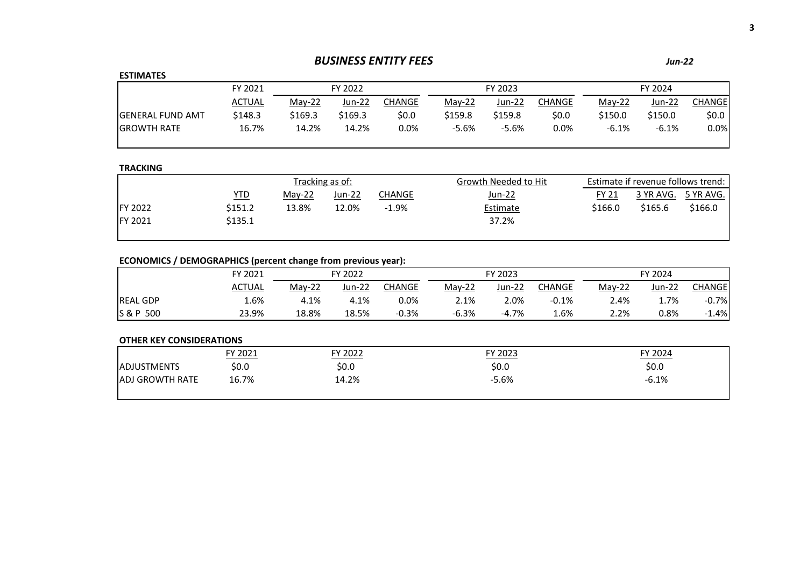# *BUSINESS ENTITY FEES Jun-22*

## **ESTIMATES**

|                         | FY 2021       | FY 2022  |         |         | FY 2023  |         |        | FY 2024  |         |                    |
|-------------------------|---------------|----------|---------|---------|----------|---------|--------|----------|---------|--------------------|
|                         | <b>ACTUAL</b> | $Mav-22$ | Jun-22  | CHANGE  | $Mav-22$ | Jun-22  | CHANGE | $Mav-22$ | Jun-22  | <b>CHANGE</b>      |
| <b>GENERAL FUND AMT</b> | \$148.3       | \$169.3  | \$169.3 | \$0.0   | \$159.8  | \$159.8 | \$0.0  | \$150.0  | \$150.0 | \$0.0 <sub>1</sub> |
| <b>GROWTH RATE</b>      | 16.7%         | 14.2%    | 14.2%   | $0.0\%$ | $-5.6%$  | $-5.6%$ | 0.0%   | $-6.1%$  | $-6.1%$ | 0.0%               |

## **TRACKING**

|                 |         |          | Tracking as of: |         | Growth Needed to Hit | Estimate if revenue follows trend: |         |                     |  |
|-----------------|---------|----------|-----------------|---------|----------------------|------------------------------------|---------|---------------------|--|
|                 | YTD     | $Mav-22$ | Jun-22          | CHANGE  | <u>Jun-22</u>        | <b>FY 21</b>                       |         | 3 YR AVG. 5 YR AVG. |  |
| <b>IFY 2022</b> | \$151.2 | 13.8%    | 12.0%           | $-1.9%$ | Estimate             | \$166.0                            | \$165.6 | \$166.0             |  |
| <b>IFY 2021</b> | \$135.1 |          |                 |         | 37.2%                |                                    |         |                     |  |
|                 |         |          |                 |         |                      |                                    |         |                     |  |

# **ECONOMICS / DEMOGRAPHICS (percent change from previous year):**

|                 | FY 2021       | FY 2022  |          | FY 2023 |          |         | FY 2024       |          |         |         |
|-----------------|---------------|----------|----------|---------|----------|---------|---------------|----------|---------|---------|
|                 | <b>ACTUAL</b> | $May-22$ | $Jun-22$ | CHANGE  | $Mav-22$ | Jun-22  | <b>CHANGE</b> | $Mav-22$ | Jun-22  | CHANGEI |
| <b>REAL GDP</b> | 1.6%          | 4.1%     | 4.1%     | 0.0%    | 2.1%     | 2.0%    | $-0.1%$       | 2.4%     | $1.7\%$ | $-0.7%$ |
| S & P 500       | 23.9%         | 18.8%    | 18.5%    | $-0.3%$ | $-6.3%$  | $-4.7%$ | 1.6%          | 2.2%     | 0.8%    | $-1.4%$ |

|                        | FY 2021 | FY 2022 | FY 2023 | FY 2024 |
|------------------------|---------|---------|---------|---------|
| <b>ADJUSTMENTS</b>     | \$0.0   | \$0.0   | \$0.0   | \$0.0   |
| <b>ADJ GROWTH RATE</b> | 16.7%   | 14.2%   | $-5.6%$ | $-6.1%$ |
|                        |         |         |         |         |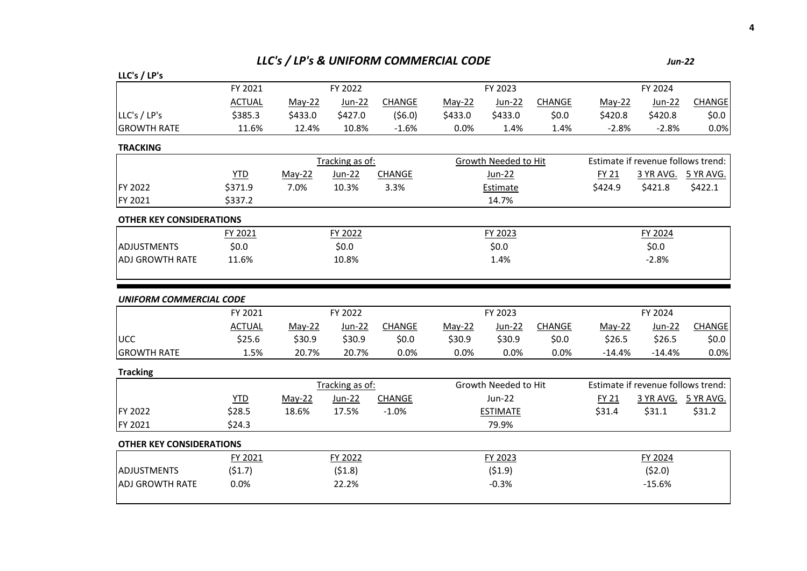# *LLC's / LP's & UNIFORM COMMERCIAL CODE Jun-22*

| LLC's / LP's                    |               |         |                 |               |          |                      |               |          |                                    |                     |
|---------------------------------|---------------|---------|-----------------|---------------|----------|----------------------|---------------|----------|------------------------------------|---------------------|
|                                 | FY 2021       |         | FY 2022         |               |          | FY 2023              |               |          | FY 2024                            |                     |
|                                 | <b>ACTUAL</b> | May-22  | Jun-22          | <b>CHANGE</b> | May-22   | $Jun-22$             | <b>CHANGE</b> | May-22   | Jun-22                             | CHANGE              |
| LLC's / LP's                    | \$385.3       | \$433.0 | \$427.0         | (56.0)        | \$433.0  | \$433.0              | \$0.0\$       | \$420.8  | \$420.8                            | \$0.0\$             |
| <b>GROWTH RATE</b>              | 11.6%         | 12.4%   | 10.8%           | $-1.6%$       | 0.0%     | 1.4%                 | 1.4%          | $-2.8%$  | $-2.8%$                            | 0.0%                |
| <b>TRACKING</b>                 |               |         |                 |               |          |                      |               |          |                                    |                     |
|                                 |               |         | Tracking as of: |               |          | Growth Needed to Hit |               |          | Estimate if revenue follows trend: |                     |
|                                 | <b>YTD</b>    | May-22  | Jun-22          | CHANGE        |          | Jun-22               |               | FY 21    |                                    | 3 YR AVG. 5 YR AVG. |
| FY 2022                         | \$371.9       | 7.0%    | 10.3%           | 3.3%          |          | Estimate             |               | \$424.9  | \$421.8                            | \$422.1             |
| FY 2021                         | \$337.2       |         |                 |               |          | 14.7%                |               |          |                                    |                     |
| <b>OTHER KEY CONSIDERATIONS</b> |               |         |                 |               |          |                      |               |          |                                    |                     |
|                                 | FY 2021       |         | FY 2022         |               |          | FY 2023              |               |          | FY 2024                            |                     |
| <b>ADJUSTMENTS</b>              | \$0.0         |         | \$0.0           |               |          | \$0.0\$              |               |          | \$0.0\$                            |                     |
| <b>ADJ GROWTH RATE</b>          | 11.6%         |         | 10.8%           |               |          | 1.4%                 |               |          | $-2.8%$                            |                     |
| <b>UNIFORM COMMERCIAL CODE</b>  |               |         |                 |               |          |                      |               |          |                                    |                     |
|                                 | FY 2021       |         | FY 2022         |               |          | FY 2023              |               |          | FY 2024                            |                     |
|                                 | <b>ACTUAL</b> | May-22  | $Jun-22$        | <b>CHANGE</b> | $May-22$ | $Jun-22$             | <b>CHANGE</b> | May-22   | $Jun-22$                           | <b>CHANGE</b>       |
| <b>UCC</b>                      | \$25.6        | \$30.9  | \$30.9          | \$0.0\$       | \$30.9   | \$30.9               | \$0.0\$       | \$26.5   | \$26.5                             | \$0.0\$             |
| <b>GROWTH RATE</b>              | 1.5%          | 20.7%   | 20.7%           | 0.0%          | 0.0%     | 0.0%                 | 0.0%          | $-14.4%$ | $-14.4%$                           | 0.0%                |
| <b>Tracking</b>                 |               |         |                 |               |          |                      |               |          |                                    |                     |
|                                 |               |         | Tracking as of: |               |          | Growth Needed to Hit |               |          | Estimate if revenue follows trend: |                     |
|                                 | <b>YTD</b>    | May-22  | <b>Jun-22</b>   | CHANGE        |          | Jun-22               |               | FY 21    | 3 YR AVG.                          | 5 YR AVG.           |
| FY 2022                         | \$28.5        | 18.6%   | 17.5%           | $-1.0%$       |          | <b>ESTIMATE</b>      |               | \$31.4   | \$31.1                             | \$31.2              |
| FY 2021                         | \$24.3        |         |                 |               |          | 79.9%                |               |          |                                    |                     |
| <b>OTHER KEY CONSIDERATIONS</b> |               |         |                 |               |          |                      |               |          |                                    |                     |
|                                 | FY 2021       |         | FY 2022         |               |          | FY 2023              |               |          | FY 2024                            |                     |
| <b>ADJUSTMENTS</b>              | (51.7)        |         | (51.8)          |               |          | (51.9)               |               |          | (52.0)                             |                     |
| <b>ADJ GROWTH RATE</b>          | 0.0%          |         | 22.2%           |               |          | $-0.3%$              |               |          | $-15.6%$                           |                     |
|                                 |               |         |                 |               |          |                      |               |          |                                    |                     |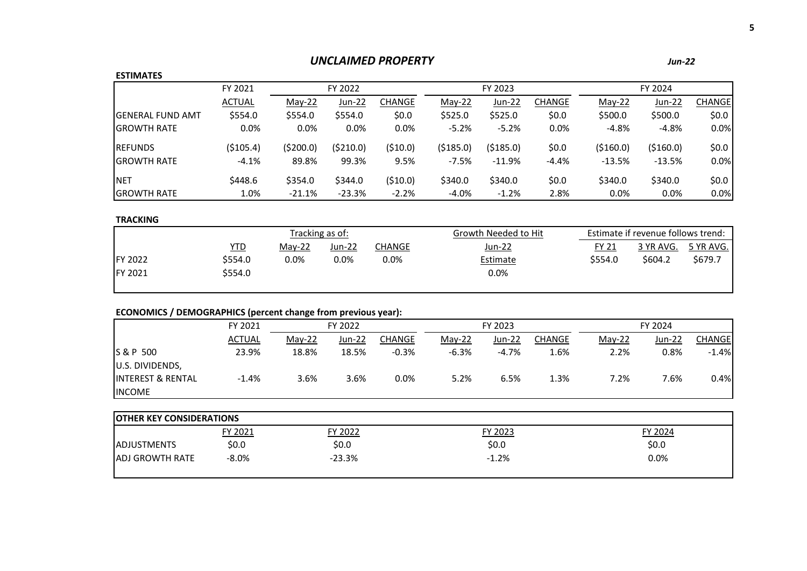# *UNCLAIMED PROPERTY*

# **ESTIMATES**

|                          | FY 2021       |          | FY 2023<br>FY 2022 |         |          |               | FY 2024       |            |          |               |
|--------------------------|---------------|----------|--------------------|---------|----------|---------------|---------------|------------|----------|---------------|
|                          | <b>ACTUAL</b> | $May-22$ | <b>Jun-22</b>      | CHANGE  | $May-22$ | <b>Jun-22</b> | <b>CHANGE</b> | May-22     | Jun-22   | <b>CHANGE</b> |
| <b>IGENERAL FUND AMT</b> | \$554.0       | \$554.0  | \$554.0            | \$0.0   | \$525.0  | \$525.0       | \$0.0         | \$500.0    | \$500.0  | \$0.0\$       |
| <b>IGROWTH RATE</b>      | 0.0%          | 0.0%     | 0.0%               | $0.0\%$ | $-5.2%$  | $-5.2%$       | 0.0%          | $-4.8%$    | $-4.8%$  | 0.0%          |
| <b>REFUNDS</b>           | ( \$105.4)    | (5200.0) | (\$210.0)          | (510.0) | (5185.0) | (5185.0)      | \$0.0\$       | ( \$160.0) | (5160.0) | \$0.0\$       |
| <b>IGROWTH RATE</b>      | $-4.1%$       | 89.8%    | 99.3%              | 9.5%    | $-7.5%$  | $-11.9%$      | $-4.4%$       | $-13.5%$   | $-13.5%$ | 0.0%          |
| <b>INET</b>              | \$448.6       | \$354.0  | \$344.0            | (510.0) | \$340.0  | \$340.0       | \$0.0         | \$340.0    | \$340.0  | \$0.0\$       |
| <b>IGROWTH RATE</b>      | 1.0%          | $-21.1%$ | $-23.3%$           | $-2.2%$ | $-4.0%$  | $-1.2%$       | 2.8%          | 0.0%       | 0.0%     | 0.0%          |

# **TRACKING**

|                 |            |          | Tracking as of: |         | Growth Needed to Hit |         | Estimate if revenue follows trend: |           |
|-----------------|------------|----------|-----------------|---------|----------------------|---------|------------------------------------|-----------|
|                 | <u>YTD</u> | $Mav-22$ | Jun-22          | CHANGE  | Jun-22               | FY 21   | 3 YR AVG.                          | 5 YR AVG. |
| <b>IFY 2022</b> | \$554.0    | $0.0\%$  | 0.0%            | $0.0\%$ | <b>Estimate</b>      | \$554.0 | \$604.2                            | \$679.7   |
| FY 2021         | \$554.0    |          |                 |         | 0.0%                 |         |                                    |           |
|                 |            |          |                 |         |                      |         |                                    |           |

# **ECONOMICS / DEMOGRAPHICS (percent change from previous year):**

|                              | FY 2021       |          | FY 2022 |         |          | FY 2023  |        |          | FY 2024 |         |  |
|------------------------------|---------------|----------|---------|---------|----------|----------|--------|----------|---------|---------|--|
|                              | <b>ACTUAL</b> | $May-22$ | Jun-22  | CHANGE  | $Mav-22$ | Jun-22   | CHANGE | $May-22$ | Jun-22  | CHANGEI |  |
| S & P 500                    | 23.9%         | 18.8%    | 18.5%   | $-0.3%$ | $-6.3%$  | $-4.7\%$ | 1.6%   | 2.2%     | 0.8%    | $-1.4%$ |  |
| U.S. DIVIDENDS,              |               |          |         |         |          |          |        |          |         |         |  |
| <b>INTEREST &amp; RENTAL</b> | $-1.4%$       | 3.6%     | 3.6%    | 0.0%    | 5.2%     | 6.5%     | 1.3%   | 7.2%     | 7.6%    | 0.4%    |  |
| <b>INCOME</b>                |               |          |         |         |          |          |        |          |         |         |  |

| <b>OTHER KEY CONSIDERATIONS</b> |         |          |         |         |  |  |  |  |  |  |
|---------------------------------|---------|----------|---------|---------|--|--|--|--|--|--|
|                                 | FY 2021 | FY 2022  | FY 2023 | FY 2024 |  |  |  |  |  |  |
| <b>ADJUSTMENTS</b>              | \$0.0   | \$0.0    | \$0.0   | \$0.0   |  |  |  |  |  |  |
| <b>ADJ GROWTH RATE</b>          | $-8.0%$ | $-23.3%$ | $-1.2%$ | 0.0%    |  |  |  |  |  |  |
|                                 |         |          |         |         |  |  |  |  |  |  |

*Jun-22*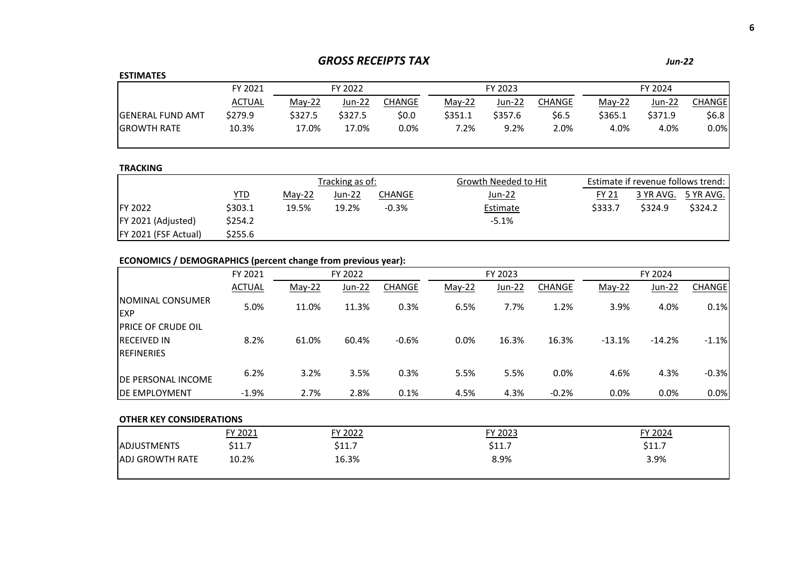# *GROSS RECEIPTS TAX Jun-22*

## **ESTIMATES**

| FY 2024 |                             |  |
|---------|-----------------------------|--|
| Jun-22  | CHANGE                      |  |
| \$371.9 | \$6.8                       |  |
| 4.0%    | 0.0%                        |  |
|         | $Mav-22$<br>\$365.1<br>4.0% |  |

## **TRACKING**

|                             |         | Tracking as of: |        |         | Growth Needed to Hit | Estimate if revenue follows trend: |           |           |  |
|-----------------------------|---------|-----------------|--------|---------|----------------------|------------------------------------|-----------|-----------|--|
|                             | YTD     | May-22          | Jun-22 | CHANGE  | Jun-22               | <b>FY 21</b>                       | 3 YR AVG. | 5 YR AVG. |  |
| <b>IFY 2022</b>             | \$303.1 | 19.5%           | 19.2%  | $-0.3%$ | Estimate             | \$333.7                            | \$324.9   | \$324.2   |  |
| <b>FY 2021 (Adjusted)</b>   | \$254.2 |                 |        |         | $-5.1%$              |                                    |           |           |  |
| <b>FY 2021 (FSF Actual)</b> | \$255.6 |                 |        |         |                      |                                    |           |           |  |

# **ECONOMICS / DEMOGRAPHICS (percent change from previous year):**

|                                                                         | FY 2021       | FY 2023<br>FY 2022 |        |               |          |        | FY 2024       |          |          |               |
|-------------------------------------------------------------------------|---------------|--------------------|--------|---------------|----------|--------|---------------|----------|----------|---------------|
|                                                                         | <b>ACTUAL</b> | May-22             | Jun-22 | <b>CHANGE</b> | $May-22$ | Jun-22 | <b>CHANGE</b> | May-22   | Jun-22   | <b>CHANGE</b> |
| <b>INOMINAL CONSUMER</b><br><b>EXP</b>                                  | 5.0%          | 11.0%              | 11.3%  | 0.3%          | 6.5%     | 7.7%   | 1.2%          | 3.9%     | 4.0%     | 0.1%          |
| <b>IPRICE OF CRUDE OIL</b><br><b>IRECEIVED IN</b><br><b>IREFINERIES</b> | 8.2%          | 61.0%              | 60.4%  | $-0.6%$       | 0.0%     | 16.3%  | 16.3%         | $-13.1%$ | $-14.2%$ | $-1.1%$       |
| <b>IDE PERSONAL INCOME</b>                                              | 6.2%          | 3.2%               | 3.5%   | 0.3%          | 5.5%     | 5.5%   | 0.0%          | 4.6%     | 4.3%     | $-0.3%$       |
| <b>IDE EMPLOYMENT</b>                                                   | $-1.9%$       | 2.7%               | 2.8%   | 0.1%          | 4.5%     | 4.3%   | $-0.2%$       | 0.0%     | 0.0%     | 0.0%          |

|                        | FY 2021               | FY 2022 | FY 2023 | FY 2024                |
|------------------------|-----------------------|---------|---------|------------------------|
| <b>ADJUSTMENTS</b>     | <b>¢11</b><br>J 1 1 . | \$11.7  | \$11.7  | <b>C117</b><br>، ۱۱۰ ک |
| <b>ADJ GROWTH RATE</b> | 10.2%                 | 16.3%   | 8.9%    | 3.9%                   |
|                        |                       |         |         |                        |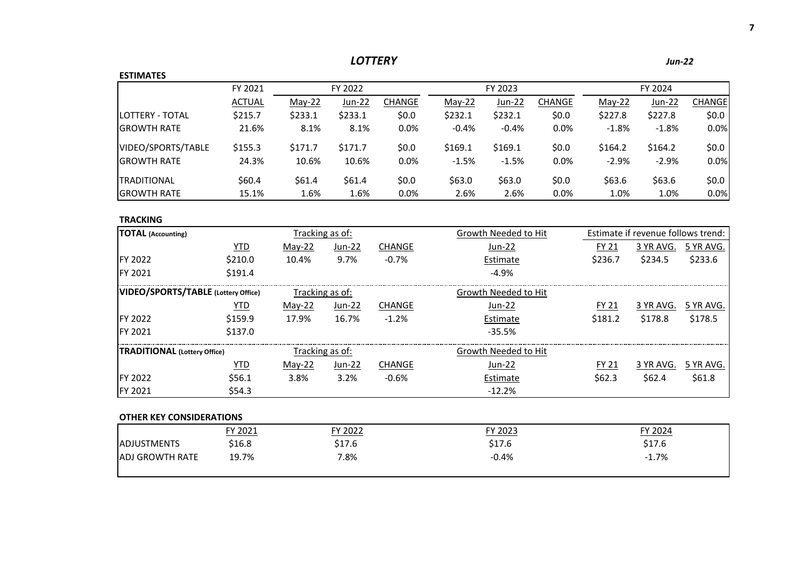| <b>ESTIMATES</b><br>FY 2022<br>FY 2021<br>FY 2023<br>FY 2024<br><b>ACTUAL</b><br><b>Jun-22</b><br><b>CHANGE</b><br>$May-22$<br><b>CHANGE</b><br><b>CHANGE</b><br>May-22<br>Jun-22<br>May-22<br>Jun-22<br>LOTTERY - TOTAL<br>\$233.1<br>\$232.1<br>\$215.7<br>\$233.1<br>\$0.0\$<br>\$232.1<br>\$0.0<br>\$227.8<br>\$227.8<br><b>GROWTH RATE</b><br>$-0.4%$<br>21.6%<br>8.1%<br>8.1%<br>0.0%<br>$-0.4%$<br>0.0%<br>$-1.8%$<br>$-1.8%$<br>VIDEO/SPORTS/TABLE<br>\$171.7<br>\$0.0\$<br>\$169.1<br>\$169.1<br>\$164.2<br>\$164.2<br>\$155.3<br>\$171.7<br>\$0.0<br><b>GROWTH RATE</b><br>24.3%<br>10.6%<br>10.6%<br>0.0%<br>$-1.5%$<br>$-1.5%$<br>0.0%<br>$-2.9%$<br>$-2.9%$<br>\$60.4<br>\$63.0<br>\$63.0<br>\$0.0<br>\$63.6<br>\$63.6<br>\$61.4<br>\$61.4<br>\$0.0\$<br><b>TRADITIONAL</b><br><b>GROWTH RATE</b><br>15.1%<br>1.6%<br>1.6%<br>0.0%<br>2.6%<br>2.6%<br>0.0%<br>1.0%<br>1.0%<br><b>TRACKING</b><br>Estimate if revenue follows trend:<br><b>TOTAL</b> (Accounting)<br>Tracking as of:<br>Growth Needed to Hit<br><b>YTD</b><br><b>CHANGE</b><br>May-22<br>Jun-22<br>3 YR AVG.<br>5 YR AVG.<br>Jun-22<br>FY 21<br><b>FY 2022</b><br>\$210.0<br>\$233.6<br>10.4%<br>9.7%<br>$-0.7%$<br>\$236.7<br>\$234.5<br>Estimate<br>FY 2021<br>\$191.4<br>$-4.9%$<br>VIDEO/SPORTS/TABLE (Lottery Office)<br>Tracking as of:<br>Growth Needed to Hit |
|---------------------------------------------------------------------------------------------------------------------------------------------------------------------------------------------------------------------------------------------------------------------------------------------------------------------------------------------------------------------------------------------------------------------------------------------------------------------------------------------------------------------------------------------------------------------------------------------------------------------------------------------------------------------------------------------------------------------------------------------------------------------------------------------------------------------------------------------------------------------------------------------------------------------------------------------------------------------------------------------------------------------------------------------------------------------------------------------------------------------------------------------------------------------------------------------------------------------------------------------------------------------------------------------------------------------------------------------------|
|                                                                                                                                                                                                                                                                                                                                                                                                                                                                                                                                                                                                                                                                                                                                                                                                                                                                                                                                                                                                                                                                                                                                                                                                                                                                                                                                                   |
|                                                                                                                                                                                                                                                                                                                                                                                                                                                                                                                                                                                                                                                                                                                                                                                                                                                                                                                                                                                                                                                                                                                                                                                                                                                                                                                                                   |
|                                                                                                                                                                                                                                                                                                                                                                                                                                                                                                                                                                                                                                                                                                                                                                                                                                                                                                                                                                                                                                                                                                                                                                                                                                                                                                                                                   |
|                                                                                                                                                                                                                                                                                                                                                                                                                                                                                                                                                                                                                                                                                                                                                                                                                                                                                                                                                                                                                                                                                                                                                                                                                                                                                                                                                   |
|                                                                                                                                                                                                                                                                                                                                                                                                                                                                                                                                                                                                                                                                                                                                                                                                                                                                                                                                                                                                                                                                                                                                                                                                                                                                                                                                                   |
|                                                                                                                                                                                                                                                                                                                                                                                                                                                                                                                                                                                                                                                                                                                                                                                                                                                                                                                                                                                                                                                                                                                                                                                                                                                                                                                                                   |
|                                                                                                                                                                                                                                                                                                                                                                                                                                                                                                                                                                                                                                                                                                                                                                                                                                                                                                                                                                                                                                                                                                                                                                                                                                                                                                                                                   |
|                                                                                                                                                                                                                                                                                                                                                                                                                                                                                                                                                                                                                                                                                                                                                                                                                                                                                                                                                                                                                                                                                                                                                                                                                                                                                                                                                   |
|                                                                                                                                                                                                                                                                                                                                                                                                                                                                                                                                                                                                                                                                                                                                                                                                                                                                                                                                                                                                                                                                                                                                                                                                                                                                                                                                                   |
|                                                                                                                                                                                                                                                                                                                                                                                                                                                                                                                                                                                                                                                                                                                                                                                                                                                                                                                                                                                                                                                                                                                                                                                                                                                                                                                                                   |
|                                                                                                                                                                                                                                                                                                                                                                                                                                                                                                                                                                                                                                                                                                                                                                                                                                                                                                                                                                                                                                                                                                                                                                                                                                                                                                                                                   |
|                                                                                                                                                                                                                                                                                                                                                                                                                                                                                                                                                                                                                                                                                                                                                                                                                                                                                                                                                                                                                                                                                                                                                                                                                                                                                                                                                   |
|                                                                                                                                                                                                                                                                                                                                                                                                                                                                                                                                                                                                                                                                                                                                                                                                                                                                                                                                                                                                                                                                                                                                                                                                                                                                                                                                                   |
|                                                                                                                                                                                                                                                                                                                                                                                                                                                                                                                                                                                                                                                                                                                                                                                                                                                                                                                                                                                                                                                                                                                                                                                                                                                                                                                                                   |
|                                                                                                                                                                                                                                                                                                                                                                                                                                                                                                                                                                                                                                                                                                                                                                                                                                                                                                                                                                                                                                                                                                                                                                                                                                                                                                                                                   |
| <b>CHANGE</b><br>3 YR AVG.<br>5 YR AVG.<br>YTD<br>May-22<br>Jun-22<br>FY 21<br>Jun-22                                                                                                                                                                                                                                                                                                                                                                                                                                                                                                                                                                                                                                                                                                                                                                                                                                                                                                                                                                                                                                                                                                                                                                                                                                                             |
| <b>FY 2022</b><br>\$159.9<br>\$178.8<br>\$178.5<br>17.9%<br>16.7%<br>$-1.2%$<br>\$181.2<br>Estimate                                                                                                                                                                                                                                                                                                                                                                                                                                                                                                                                                                                                                                                                                                                                                                                                                                                                                                                                                                                                                                                                                                                                                                                                                                               |
| \$137.0<br>FY 2021<br>$-35.5%$                                                                                                                                                                                                                                                                                                                                                                                                                                                                                                                                                                                                                                                                                                                                                                                                                                                                                                                                                                                                                                                                                                                                                                                                                                                                                                                    |
| <b>TRADITIONAL (Lottery Office)</b><br>Tracking as of:<br>Growth Needed to Hit                                                                                                                                                                                                                                                                                                                                                                                                                                                                                                                                                                                                                                                                                                                                                                                                                                                                                                                                                                                                                                                                                                                                                                                                                                                                    |
| <b>CHANGE</b><br>FY 21<br>3 YR AVG.<br>5 YR AVG.<br>YTD<br>May-22<br>Jun-22<br>Jun-22                                                                                                                                                                                                                                                                                                                                                                                                                                                                                                                                                                                                                                                                                                                                                                                                                                                                                                                                                                                                                                                                                                                                                                                                                                                             |
| \$61.8<br>FY 2022<br>\$56.1<br>$-0.6%$<br>\$62.3<br>\$62.4<br>3.8%<br>3.2%<br>Estimate                                                                                                                                                                                                                                                                                                                                                                                                                                                                                                                                                                                                                                                                                                                                                                                                                                                                                                                                                                                                                                                                                                                                                                                                                                                            |
| FY 2021<br>\$54.3<br>$-12.2%$                                                                                                                                                                                                                                                                                                                                                                                                                                                                                                                                                                                                                                                                                                                                                                                                                                                                                                                                                                                                                                                                                                                                                                                                                                                                                                                     |
|                                                                                                                                                                                                                                                                                                                                                                                                                                                                                                                                                                                                                                                                                                                                                                                                                                                                                                                                                                                                                                                                                                                                                                                                                                                                                                                                                   |
| <b>OTHER KEY CONSIDERATIONS</b><br>$\sim$ $\sim$ $\sim$ $\sim$<br>$\sim$ $\sim$ $\sim$ $\sim$<br>$\sim$ $\sim$ $\sim$ $\sim$ $\sim$                                                                                                                                                                                                                                                                                                                                                                                                                                                                                                                                                                                                                                                                                                                                                                                                                                                                                                                                                                                                                                                                                                                                                                                                               |

|                         | FY 2021 | FY 2022 | FY 2023 | FY 2024 |
|-------------------------|---------|---------|---------|---------|
| <b>ADJUSTMENTS</b>      | \$16.8  | \$17.6  | \$17.6  | \$17.6  |
| <b>JADJ GROWTH RATE</b> | 19.7%   | 7.8%    | $-0.4%$ | $-1.7%$ |
|                         |         |         |         |         |

*LOTTERY Jun-22*

 **7**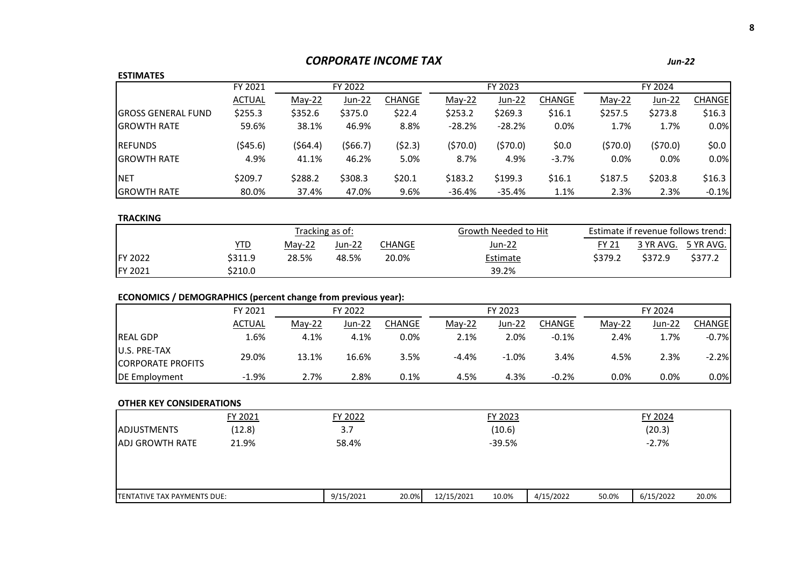# *CORPORATE INCOME TAX Jun-22*

## **ESTIMATES**

| -----------                |               |          |         |               |          |          |               |         |         |               |
|----------------------------|---------------|----------|---------|---------------|----------|----------|---------------|---------|---------|---------------|
|                            | FY 2021       |          | FY 2022 |               |          | FY 2023  |               |         | FY 2024 |               |
|                            | <b>ACTUAL</b> | $May-22$ | Jun-22  | <b>CHANGE</b> | May-22   | Jun-22   | <b>CHANGE</b> | May-22  | Jun-22  | <b>CHANGE</b> |
| <b>IGROSS GENERAL FUND</b> | \$255.3       | \$352.6  | \$375.0 | \$22.4        | \$253.2  | \$269.3  | \$16.1        | \$257.5 | \$273.8 | \$16.3        |
| <b>IGROWTH RATE</b>        | 59.6%         | 38.1%    | 46.9%   | 8.8%          | $-28.2%$ | $-28.2%$ | 0.0%          | 1.7%    | 1.7%    | 0.0%          |
| <b>REFUNDS</b>             | (545.6)       | (564.4)  | (566.7) | (\$2.3)       | (\$70.0) | (570.0)  | \$0.0         | (570.0) | (570.0) | \$0.0\$       |
| <b>IGROWTH RATE</b>        | 4.9%          | 41.1%    | 46.2%   | 5.0%          | 8.7%     | 4.9%     | $-3.7%$       | 0.0%    | 0.0%    | 0.0%          |
| <b>NET</b>                 | \$209.7       | \$288.2  | \$308.3 | \$20.1        | \$183.2  | \$199.3  | \$16.1        | \$187.5 | \$203.8 | \$16.3        |
| <b>GROWTH RATE</b>         | 80.0%         | 37.4%    | 47.0%   | 9.6%          | $-36.4%$ | -35.4%   | 1.1%          | 2.3%    | 2.3%    | $-0.1%$       |

## **TRACKING**

|                 |            |          | Tracking as of: |        | Growth Needed to Hit |              | Estimate if revenue follows trend: |                     |
|-----------------|------------|----------|-----------------|--------|----------------------|--------------|------------------------------------|---------------------|
|                 | <u>YTD</u> | $Mav-22$ | Jun-22          | CHANGE | <u>Jun-22</u>        | <b>FY 21</b> |                                    | 3 YR AVG. 5 YR AVG. |
| <b>IFY 2022</b> | \$311.9    | 28.5%    | 48.5%           | 20.0%  | <b>Estimate</b>      | \$379.2      | \$372.9                            | \$377.2             |
| FY 2021         | \$210.0    |          |                 |        | 39.2%                |              |                                    |                     |

# **ECONOMICS / DEMOGRAPHICS (percent change from previous year):**

|                          | FY 2021       | FY 2022  |        | FY 2023 |          |         | FY 2024 |          |         |         |
|--------------------------|---------------|----------|--------|---------|----------|---------|---------|----------|---------|---------|
|                          | <b>ACTUAL</b> | $Mav-22$ | Jun-22 | CHANGE  | $Mav-22$ | Jun-22  | CHANGE  | $Mav-22$ | Jun-22  | CHANGEl |
| <b>REAL GDP</b>          | 1.6%          | 4.1%     | 4.1%   | $0.0\%$ | 2.1%     | 2.0%    | $-0.1%$ | 2.4%     | 1.7%    | $-0.7%$ |
| U.S. PRE-TAX             | 29.0%         | 13.1%    | 16.6%  | 3.5%    | $-4.4%$  | $-1.0%$ | 3.4%    | 4.5%     | 2.3%    | $-2.2%$ |
| <b>CORPORATE PROFITS</b> |               |          |        |         |          |         |         |          |         |         |
| DE Employment            | $-1.9%$       | 2.7%     | 2.8%   | $0.1\%$ | 4.5%     | 4.3%    | $-0.2%$ | $0.0\%$  | $0.0\%$ | 0.0%    |

|                             | FY 2021 | FY 2022   |       |            | FY 2023  |           |       | FY 2024   |       |
|-----------------------------|---------|-----------|-------|------------|----------|-----------|-------|-----------|-------|
| <b>ADJUSTMENTS</b>          | (12.8)  | 3.7       |       |            | (10.6)   |           |       | (20.3)    |       |
| <b>JADJ GROWTH RATE</b>     | 21.9%   | 58.4%     |       |            | $-39.5%$ |           |       | $-2.7%$   |       |
|                             |         |           |       |            |          |           |       |           |       |
| TENTATIVE TAX PAYMENTS DUE: |         | 9/15/2021 | 20.0% | 12/15/2021 | 10.0%    | 4/15/2022 | 50.0% | 6/15/2022 | 20.0% |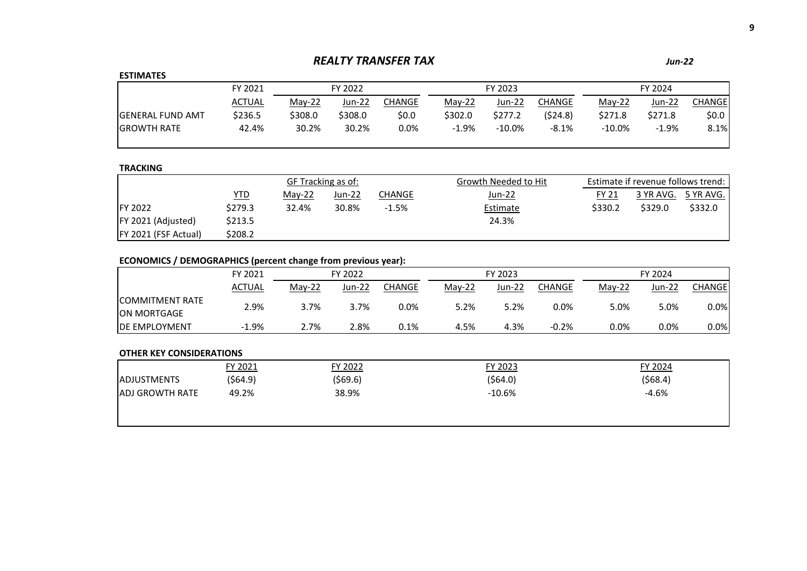# *REALTY TRANSFER TAX Jun-22*

## **ESTIMATES**

|                          | FY 2021 | FY 2022  |         |        |         | FY 2023   |          | FY 2024 |         |        |
|--------------------------|---------|----------|---------|--------|---------|-----------|----------|---------|---------|--------|
|                          | ACTUAL  | $May-22$ | Jun-22  | CHANGE | May-22  | Jun-22    | CHANGE   | May-22  | Jun-22  | CHANGE |
| <b>IGENERAL FUND AMT</b> | \$236.5 | \$308.0  | \$308.0 | \$0.0  | \$302.0 | \$277.2   | (\$24.8) | \$271.8 | \$271.8 | \$0.0  |
| <b>IGROWTH RATE</b>      | 42.4%   | 30.2%    | 30.2%   | 0.0%   | $-1.9%$ | $-10.0\%$ | $-8.1%$  | -10.0%  | $-1.9%$ | 8.1%   |
|                          |         |          |         |        |         |           |          |         |         |        |

## **TRACKING**

|                             |            | GF Tracking as of: |        |         | Estimate if revenue follows trend:<br>Growth Needed to Hit |         |           |           |
|-----------------------------|------------|--------------------|--------|---------|------------------------------------------------------------|---------|-----------|-----------|
|                             | <u>YTD</u> | May-22             | Jun-22 | CHANGE  | Jun-22                                                     | FY 21   | 3 YR AVG. | 5 YR AVG. |
| <b>IFY 2022</b>             | \$279.3    | 32.4%              | 30.8%  | $-1.5%$ | Estimate                                                   | \$330.2 | \$329.0   | \$332.0   |
| <b>FY 2021 (Adjusted)</b>   | \$213.5    |                    |        |         | 24.3%                                                      |         |           |           |
| <b>FY 2021 (FSF Actual)</b> | \$208.2    |                    |        |         |                                                            |         |           |           |

# **ECONOMICS / DEMOGRAPHICS (percent change from previous year):**

|                                                | FY 2021       | FY 2022  |               |        | FY 2023  |        |         | FY 2024  |          |                |
|------------------------------------------------|---------------|----------|---------------|--------|----------|--------|---------|----------|----------|----------------|
|                                                | <b>ACTUAL</b> | $May-22$ | <b>Jun-22</b> | CHANGE | $Mav-22$ | Jun-22 | CHANGE  | $Mav-22$ | $Jun-22$ | <b>CHANGEI</b> |
| <b>ICOMMITMENT RATE</b><br><b>JON MORTGAGE</b> | 2.9%          | 3.7%     | 3.7%          | 0.0%   | 5.2%     | 5.2%   | 0.0%    | 5.0%     | 5.0%     | 0.0%           |
| <b>IDE EMPLOYMENT</b>                          | $-1.9%$       | $2.7\%$  | 2.8%          | 0.1%   | 4.5%     | 4.3%   | $-0.2%$ | 0.0%     | 0.0%     | 0.0%           |

|                        | FY 2021  | FY 2022 | FY 2023   | FY 2024 |
|------------------------|----------|---------|-----------|---------|
| <b>JADJUSTMENTS</b>    | (\$64.9) | (569.6) | ( \$64.0) | (568.4) |
| <b>ADJ GROWTH RATE</b> | 49.2%    | 38.9%   | $-10.6%$  | $-4.6%$ |
|                        |          |         |           |         |
|                        |          |         |           |         |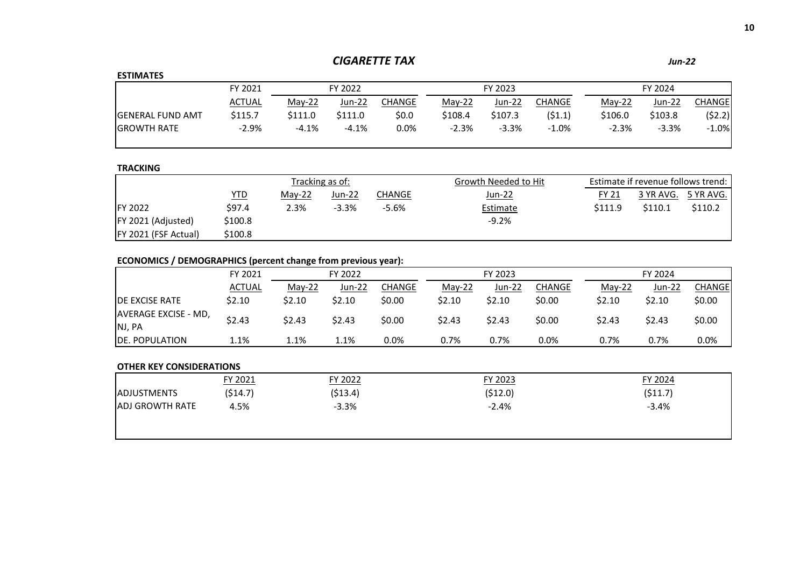# *CIGARETTE TAX Jun-22*

| <b>ESTIMATES</b>         |               |         |         |         |          |         |          |          |         |         |  |
|--------------------------|---------------|---------|---------|---------|----------|---------|----------|----------|---------|---------|--|
|                          | FY 2021       |         | FY 2022 |         |          | FY 2023 |          |          | FY 2024 |         |  |
|                          | <b>ACTUAL</b> | May-22  | Jun-22  | CHANGE  | $Mav-22$ | Jun-22  | CHANGE   | $Mav-22$ | Jun-22  | CHANGEI |  |
| <b>IGENERAL FUND AMT</b> | \$115.7       | \$111.0 | \$111.0 | \$0.0\$ | \$108.4  | \$107.3 | (51.1)   | \$106.0  | \$103.8 | (52.2)  |  |
| <b>IGROWTH RATE</b>      | $-2.9%$       | $-4.1%$ | $-4.1%$ | 0.0%    | $-2.3%$  | $-3.3%$ | $-1.0\%$ | $-2.3%$  | $-3.3%$ | $-1.0%$ |  |

## **TRACKING**

|                             | Tracking as of: |        |         |               | Growth Needed to Hit | Estimate if revenue follows trend: |         |                     |  |
|-----------------------------|-----------------|--------|---------|---------------|----------------------|------------------------------------|---------|---------------------|--|
|                             | <u>YTD</u>      | Mav-22 | Jun-22  | <b>CHANGE</b> | Jun-22               | <b>FY 21</b>                       |         | 3 YR AVG. 5 YR AVG. |  |
| <b>IFY 2022</b>             | \$97.4          | 2.3%   | $-3.3%$ | $-5.6%$       | Estimate             | \$111.9                            | \$110.1 | \$110.2             |  |
| FY 2021 (Adjusted)          | \$100.8         |        |         |               | $-9.2%$              |                                    |         |                     |  |
| <b>FY 2021 (FSF Actual)</b> | \$100.8         |        |         |               |                      |                                    |         |                     |  |

# **ECONOMICS / DEMOGRAPHICS (percent change from previous year):**

|                             | FY 2021       | FY 2022  |        |         | FY 2023  |        |               | FY 2024  |        |         |
|-----------------------------|---------------|----------|--------|---------|----------|--------|---------------|----------|--------|---------|
|                             | <b>ACTUAL</b> | $Mav-22$ | Jun-22 | CHANGE  | $Mav-22$ | Jun-22 | <b>CHANGE</b> | $Mav-22$ | Jun-22 | CHANGEl |
| <b>IDE EXCISE RATE</b>      | \$2.10        | \$2.10   | \$2.10 | \$0.00  | \$2.10   | \$2.10 | \$0.00        | \$2.10   | \$2.10 | \$0.00  |
| <b>AVERAGE EXCISE - MD,</b> | \$2.43        | \$2.43   | \$2.43 | \$0.00  | \$2.43   | \$2.43 | \$0.00        | \$2.43   | \$2.43 | \$0.00  |
| NJ, PA                      |               |          |        |         |          |        |               |          |        |         |
| DE. POPULATION              | 1.1%          | 1.1%     | 1.1%   | $0.0\%$ | 0.7%     | 0.7%   | 0.0%          | 0.7%     | 0.7%   | $0.0\%$ |

|                         | FY 2021 | FY 2022   | FY 2023 | FY 2024 |
|-------------------------|---------|-----------|---------|---------|
| <b>ADJUSTMENTS</b>      | (514.7) | ( \$13.4) | (512.0) | (511.7) |
| <b>JADJ GROWTH RATE</b> | 4.5%    | $-3.3%$   | $-2.4%$ | $-3.4%$ |
|                         |         |           |         |         |
|                         |         |           |         |         |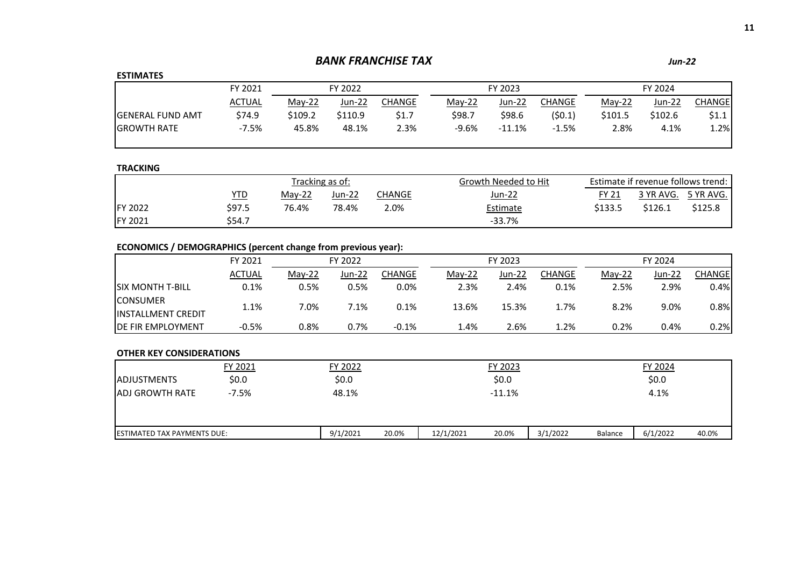# *BANK FRANCHISE TAX Jun-22*

## **ESTIMATES**

|                          | FY 2021       | FY 2022  |         |        |         | FY 2023  |         | FY 2024  |               |         |
|--------------------------|---------------|----------|---------|--------|---------|----------|---------|----------|---------------|---------|
|                          | <b>ACTUAL</b> | $May-22$ | Jun-22  | CHANGE | May-22  | Jun-22   | CHANGE  | $Mav-22$ | <u>Jun-22</u> | CHANGEI |
| <b>IGENERAL FUND AMT</b> | \$74.9        | \$109.2  | \$110.9 | \$1.7  | \$98.7  | \$98.6   | (50.1)  | \$101.5  | \$102.6       | \$1.1   |
| <b>GROWTH RATE</b>       | $-7.5%$       | 45.8%    | 48.1%   | 2.3%   | $-9.6%$ | $-11.1%$ | $-1.5%$ | 2.8%     | 4.1%          | 1.2%    |

## **TRACKING**

|                 |        |          | Tracking as of: |        | Growth Needed to Hit | Estimate if revenue follows trend: |         |                     |  |
|-----------------|--------|----------|-----------------|--------|----------------------|------------------------------------|---------|---------------------|--|
|                 | YTD    | $Mav-22$ | $Jun-22$        | CHANGE | Jun-22               | FY 21                              |         | 3 YR AVG. 5 YR AVG. |  |
| <b>IFY 2022</b> | \$97.5 | 76.4%    | 78.4%           | 2.0%   | Estimate             | \$133.5                            | \$126.1 | \$125.8             |  |
| <b>FY 2021</b>  | \$54.7 |          |                 |        | $-33.7%$             |                                    |         |                     |  |

# **ECONOMICS / DEMOGRAPHICS (percent change from previous year):**

|                            | FY 2021 |          | FY 2022 |         |  |          | FY 2023 |               | FY 2024  |        |         |  |
|----------------------------|---------|----------|---------|---------|--|----------|---------|---------------|----------|--------|---------|--|
|                            | ACTUAL  | $Mav-22$ | Jun-22  | CHANGE  |  | $Mav-22$ | Jun-22  | <b>CHANGE</b> | $Mav-22$ | Jun-22 | CHANGEI |  |
| <b>ISIX MONTH T-BILL</b>   | 0.1%    | $0.5\%$  | 0.5%    | 0.0%    |  | 2.3%     | 2.4%    | 0.1%          | 2.5%     | 2.9%   | 0.4%    |  |
| <b>CONSUMER</b>            | 1.1%    | 7.0%     | 7.1%    | 0.1%    |  | 13.6%    | 15.3%   | 1.7%          | 8.2%     | 9.0%   | 0.8%    |  |
| <b>IINSTALLMENT CREDIT</b> |         |          |         |         |  |          |         |               |          |        |         |  |
| <b>DE FIR EMPLOYMENT</b>   | $-0.5%$ | ን.8%     | 0.7%    | $-0.1%$ |  | 1.4%     | 2.6%    | 1.2%          | 0.2%     | 0.4%   | 0.2%    |  |

|                                    | FY 2021 | FY 2022  |       |           | FY 2023 |          |         | FY 2024  |       |
|------------------------------------|---------|----------|-------|-----------|---------|----------|---------|----------|-------|
| <b>IADJUSTMENTS</b>                | \$0.0\$ | \$0.0\$  |       |           | \$0.0\$ |          |         | \$0.0\$  |       |
| <b>JADJ GROWTH RATE</b>            | $-7.5%$ | 48.1%    |       |           | -11.1%  |          |         | 4.1%     |       |
| <b>ESTIMATED TAX PAYMENTS DUE:</b> |         | 9/1/2021 | 20.0% | 12/1/2021 | 20.0%   | 3/1/2022 | Balance | 6/1/2022 | 40.0% |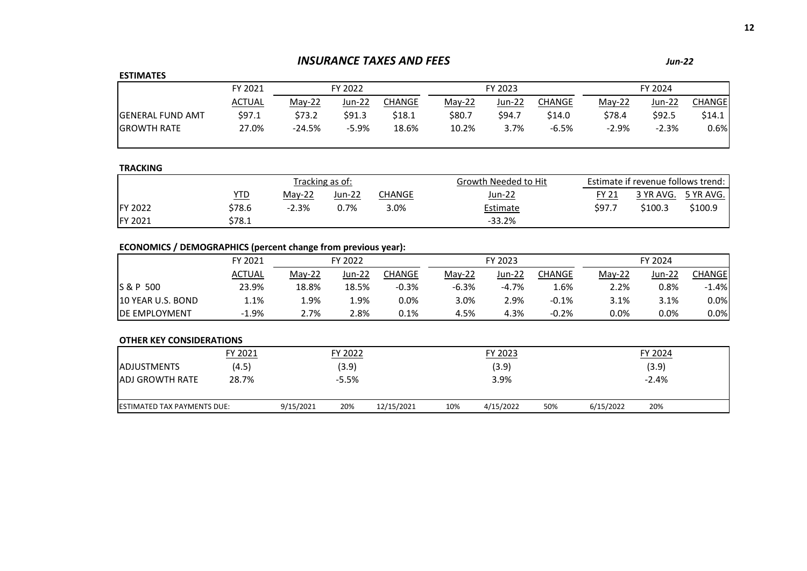# *INSURANCE TAXES AND FEES*

## **ESTIMATES**

|                          | FY 2021 |          | FY 2022 |        | FY 2023  |        |         | FY 2024  |         |        |
|--------------------------|---------|----------|---------|--------|----------|--------|---------|----------|---------|--------|
|                          | ACTUAL  | $May-22$ | Jun-22  | CHANGE | $Mav-22$ | Jun-22 | CHANGE  | $Mav-22$ | Jun-22  | CHANGE |
| <b>IGENERAL FUND AMT</b> | 597.1   | \$73.2   | \$91.3  | \$18.1 | \$80.7   | \$94.7 | \$14.0  | \$78.4   | \$92.5  | \$14.1 |
| <b>IGROWTH RATE</b>      | 27.0%   | $-24.5%$ | $-5.9%$ | 18.6%  | 10.2%    | 3.7%   | $-6.5%$ | $-2.9%$  | $-2.3%$ | 0.6%   |

## **TRACKING**

|                 |        |                               | Tracking as of: |        | Growth Needed to Hit | Estimate if revenue follows trend: |                     |         |  |
|-----------------|--------|-------------------------------|-----------------|--------|----------------------|------------------------------------|---------------------|---------|--|
|                 | YTD    | Jun-22<br>$Mav-22$<br>CHANGE. |                 | Jun-22 | FY 21                |                                    | 3 YR AVG. 5 YR AVG. |         |  |
| <b>IFY 2022</b> | \$78.6 | $-2.3%$                       | $0.7\%$         | 3.0%   | Estimate             | \$97.7                             | \$100.3             | \$100.9 |  |
| <b>FY 2021</b>  | \$78.1 |                               |                 |        | $-33.2%$             |                                    |                     |         |  |

# **ECONOMICS / DEMOGRAPHICS (percent change from previous year):**

|                       | FY 2021       |          | FY 2022 |         |          | FY 2023  |         |          | FY 2024       |         |  |  |
|-----------------------|---------------|----------|---------|---------|----------|----------|---------|----------|---------------|---------|--|--|
|                       | <b>ACTUAL</b> | $May-22$ | Jun-22  | CHANGE  | $Mav-22$ | $Jun-22$ | CHANGE  | $May-22$ | <b>Jun-22</b> | CHANGEl |  |  |
| S & P 500             | 23.9%         | 18.8%    | 18.5%   | $-0.3%$ | $-6.3%$  | $-4.7%$  | 1.6%    | 2.2%     | 0.8%          | $-1.4%$ |  |  |
| 10 YEAR U.S. BOND     | 1.1%          | 1.9%     | 1.9%    | 0.0%    | 3.0%     | 2.9%     | $-0.1%$ | 3.1%     | 3.1%          | $0.0\%$ |  |  |
| <b>IDE EMPLOYMENT</b> | $-1.9%$       | 2.7%     | 2.8%    | 0.1%    | 4.5%     | 4.3%     | $-0.2%$ | 0.0%     | 0.0%          | $0.0\%$ |  |  |

|                                    | FY 2021 |           | FY 2022 |            |     | FY 2023   |     |           | FY 2024 |  |
|------------------------------------|---------|-----------|---------|------------|-----|-----------|-----|-----------|---------|--|
| <b>ADJUSTMENTS</b>                 | (4.5)   |           | (3.9)   |            |     | (3.9)     |     |           | (3.9)   |  |
| <b>JADJ GROWTH RATE</b>            | 28.7%   |           | $-5.5%$ |            |     | 3.9%      |     |           | $-2.4%$ |  |
| <b>ESTIMATED TAX PAYMENTS DUE:</b> |         | 9/15/2021 | 20%     | 12/15/2021 | 10% | 4/15/2022 | 50% | 6/15/2022 | 20%     |  |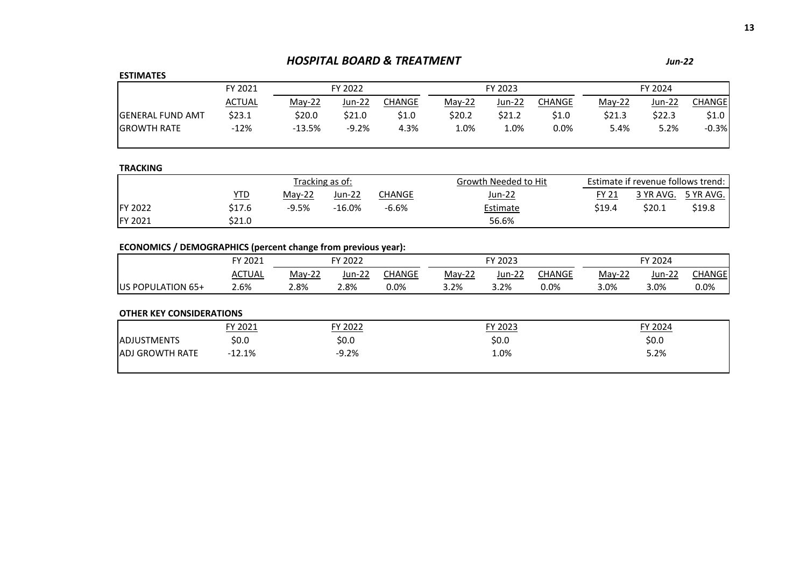# *HOSPITAL BOARD & TREATMENT Jun-22*

## **ESTIMATES**

|                          | FY 2021       |          | FY 2022 |        |        | FY 2023 |         |          | FY 2024       |               |
|--------------------------|---------------|----------|---------|--------|--------|---------|---------|----------|---------------|---------------|
|                          | <b>ACTUAL</b> | $May-22$ | Jun-22  | CHANGE | May-22 | Jun-22  | CHANGE  | $Mav-22$ | <u>Jun-22</u> | <b>CHANGE</b> |
| <b>IGENERAL FUND AMT</b> | \$23.1        | \$20.0   | \$21.0  | \$1.0  | \$20.2 | \$21.2  | \$1.0   | \$21.3   | \$22.3        | \$1.0         |
| <b>IGROWTH RATE</b>      | $-12%$        | $-13.5%$ | $-9.2%$ | 4.3%   | 1.0%   | 1.0%    | $0.0\%$ | 5.4%     | 5.2%          | $-0.3%$       |

## **TRACKING**

|                 |        |                               | Tracking as of: |         | Growth Needed to Hit | Estimate if revenue follows trend: |                     |        |  |
|-----------------|--------|-------------------------------|-----------------|---------|----------------------|------------------------------------|---------------------|--------|--|
|                 | YTD.   | Jun-22<br>$Mav-22$<br>CHANGE. |                 | Jun-22  | <b>FY 21</b>         |                                    | 3 YR AVG. 5 YR AVG. |        |  |
| <b>IFY 2022</b> | \$17.6 | $-9.5%$                       | $-16.0\%$       | $-6.6%$ | Estimate             | \$19.4                             | \$20.1              | \$19.8 |  |
| FY 2021         | \$21.0 |                               |                 |         | 56.6%                |                                    |                     |        |  |

# **ECONOMICS / DEMOGRAPHICS (percent change from previous year):**

|                   | FY 2021       |          | FY 2022 |        |          | FY 2023 |        | TY 2024  |        |        |  |
|-------------------|---------------|----------|---------|--------|----------|---------|--------|----------|--------|--------|--|
|                   | <b>ACTUAL</b> | $Mav-22$ | Jun-22  | CHANGE | $Mav-22$ | Jun-22  | CHANGE | $May-22$ | Jun-22 | :HANGE |  |
| US POPULATION 65+ | 2.6%          | 2.8%     | 2.8%    | 0.0%   | 3.2%     | 3.2%    | 0.0%   | 3.0%     | 3.0%   | 0.0%   |  |

| FY 2022<br>FY 2021  | FY 2023 | FY 2024 |  |
|---------------------|---------|---------|--|
| \$0.0<br>\$0.0      | \$0.0   | \$0.0   |  |
| $-9.2%$<br>$-12.1%$ | −0%.    | 5.2%    |  |
|                     |         |         |  |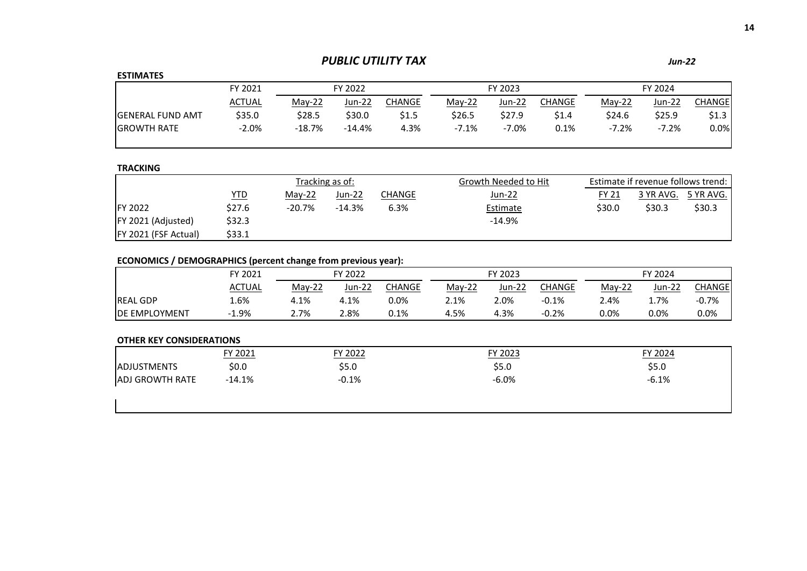# *PUBLIC UTILITY TAX Jun-22*

# **ESTIMATES**

|                          | FY 2021 |          | FY 2022   |               |          | FY 2023 |        | FY 2024  |         |               |  |
|--------------------------|---------|----------|-----------|---------------|----------|---------|--------|----------|---------|---------------|--|
|                          | ACTUAL  | $Mav-22$ | Jun-22    | <b>CHANGE</b> | $Mav-22$ | Jun-22  | CHANGE | $Mav-22$ | Jun-22  | <b>CHANGE</b> |  |
| <b>IGENERAL FUND AMT</b> | \$35.0  | \$28.5   | \$30.0    | \$1.5         | \$26.5   | \$27.9  | \$1.4  | \$24.6   | \$25.9  | \$1.3         |  |
| <b>IGROWTH RATE</b>      | $-2.0%$ | $-18.7%$ | $-14.4\%$ | 4.3%          | $-7.1%$  | $-7.0%$ | 0.1%   | $-7.2%$  | $-7.2%$ | 0.0%          |  |

## **TRACKING**

|                             |            |          | Tracking as of: |        | Growth Needed to Hit | Estimate if revenue follows trend: |           |           |
|-----------------------------|------------|----------|-----------------|--------|----------------------|------------------------------------|-----------|-----------|
|                             | <u>YTD</u> | $May-22$ | Jun-22          | CHANGE | <u>Jun-22</u>        | <b>FY 21</b>                       | 3 YR AVG. | 5 YR AVG. |
| <b>IFY 2022</b>             | \$27.6     | $-20.7%$ | $-14.3%$        | 6.3%   | Estimate             | \$30.0                             | \$30.3    | \$30.3    |
| <b>FY 2021 (Adjusted)</b>   | \$32.3     |          |                 |        | $-14.9%$             |                                    |           |           |
| <b>FY 2021 (FSF Actual)</b> | \$33.1     |          |                 |        |                      |                                    |           |           |

# **ECONOMICS / DEMOGRAPHICS (percent change from previous year):**

|                       | FY 2021 | FY 2022  |        | FY 2023 |          |        | FY 2024 |          |        |         |
|-----------------------|---------|----------|--------|---------|----------|--------|---------|----------|--------|---------|
|                       | ACTUAL  | $May-22$ | Jun-22 | CHANGE  | $Mav-22$ | Jun-22 | CHANGE  | $May-22$ | Jun-22 | CHANGEL |
| <b>IREAL GDP</b>      | 1.6%    | 4.1%     | 4.1%   | 0.0%    | 2.1%     | 2.0%   | $-0.1%$ | 2.4%     | 1.7%   | $-0.7%$ |
| <b>IDE EMPLOYMENT</b> | 1.9%    | 2.7%     | 2.8%   | 0.1%    | 4.5%     | 4.3%   | $-0.2%$ | 0.0%     | 0.0%   | 0.0%    |

|                        | FY 2021  | FY 2022 | FY 2023 | FY 2024 |
|------------------------|----------|---------|---------|---------|
| <b>ADJUSTMENTS</b>     | \$0.0\$  | \$5.0   | \$5.0   | \$5.0   |
| <b>ADJ GROWTH RATE</b> | $-14.1%$ | $-0.1%$ | $-6.0%$ | $-6.1%$ |
|                        |          |         |         |         |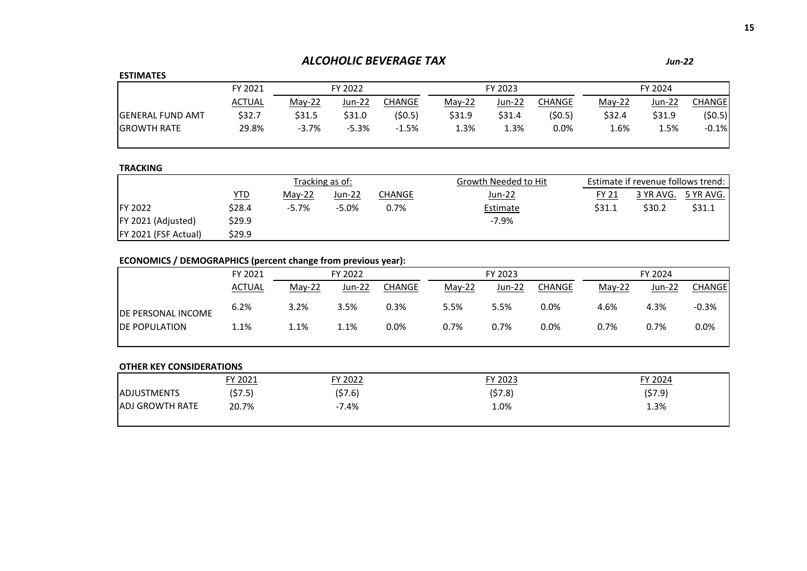# *ALCOHOLIC BEVERAGE TAX Jun-22*

## **ESTIMATES**

|                         | FY 2021 |          | FY 2022 |         | FY 2023  |        |         | FY 2024  |        |         |
|-------------------------|---------|----------|---------|---------|----------|--------|---------|----------|--------|---------|
|                         | ACTUAL  | $May-22$ | Jun-22  | CHANGE  | $Mav-22$ | Jun-22 | CHANGE  | $Mav-22$ | Jun-22 | CHANGE  |
| <b>GENERAL FUND AMT</b> | \$32.7  | \$31.5   | \$31.0  | (50.5)  | \$31.9   | \$31.4 | (50.5)  | \$32.4   | \$31.9 | (50.5)  |
| <b>IGROWTH RATE</b>     | 29.8%   | $-3.7%$  | $-5.3%$ | $-1.5%$ | 1.3%     | 1.3%   | $0.0\%$ | 1.6%     | 1.5%   | $-0.1%$ |

## **TRACKING**

|                      |        |          | Tracking as of: |        | Growth Needed to Hit | Estimate if revenue follows trend: |        |                     |
|----------------------|--------|----------|-----------------|--------|----------------------|------------------------------------|--------|---------------------|
|                      | YTD    | $Mav-22$ | Jun-22          | CHANGE | Jun-22               | <b>FY 21</b>                       |        | 3 YR AVG. 5 YR AVG. |
| <b>IFY 2022</b>      | \$28.4 | $-5.7\%$ | $-5.0%$         | 0.7%   | Estimate             | \$31.1                             | \$30.2 | \$31.1              |
| FY 2021 (Adjusted)   | \$29.9 |          |                 |        | $-7.9\%$             |                                    |        |                     |
| FY 2021 (FSF Actual) | \$29.9 |          |                 |        |                      |                                    |        |                     |

# **ECONOMICS / DEMOGRAPHICS (percent change from previous year):**

|                           | FY 2021       | FY 2022  |        |        | FY 2023  |        |               | FY 2024  |               |         |
|---------------------------|---------------|----------|--------|--------|----------|--------|---------------|----------|---------------|---------|
|                           | <b>ACTUAL</b> | $Mav-22$ | Jun-22 | CHANGE | $Mav-22$ | Jun-22 | <b>CHANGE</b> | $Mav-22$ | <b>Jun-22</b> | CHANGE  |
| <b>DE PERSONAL INCOME</b> | 6.2%          | 3.2%     | 3.5%   | 0.3%   | 5.5%     | 5.5%   | 0.0%          | 4.6%     | 4.3%          | $-0.3%$ |
| <b>IDE POPULATION</b>     | 1.1%          | 1.1%     | 1.1%   | 0.0%   | 0.7%     | 0.7%   | 0.0%          | 0.7%     | 0.7%          | $0.0\%$ |

|                         | FY 2021 | FY 2022 | FY 2023 | FY 2024 |
|-------------------------|---------|---------|---------|---------|
| <b>ADJUSTMENTS</b>      | (57.5)  | (57.6)  | (57.8)  | (57.9)  |
| <b>JADJ GROWTH RATE</b> | 20.7%   | $-7.4%$ | 1.0%    | 1.3%    |
|                         |         |         |         |         |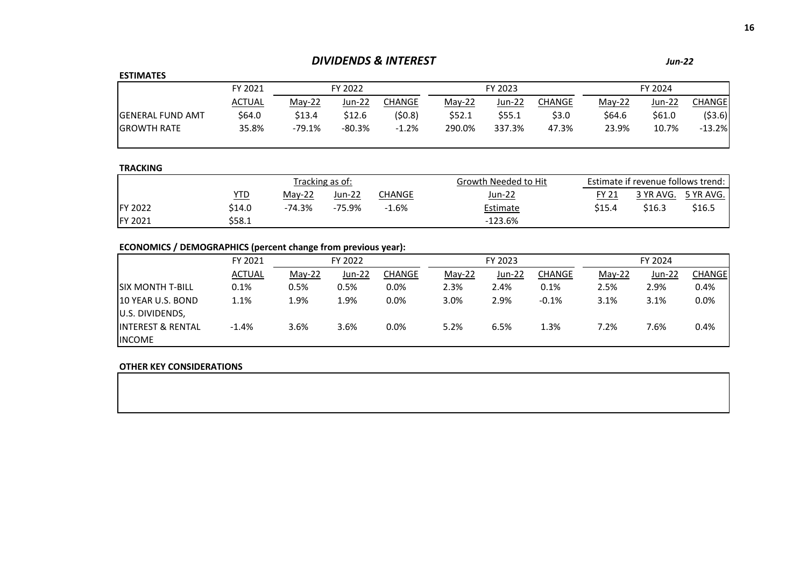# *DIVIDENDS & INTEREST Jun-22*

## **ESTIMATES**

| _ _                      |               |          |          |         |          |        |        |          |         |          |  |
|--------------------------|---------------|----------|----------|---------|----------|--------|--------|----------|---------|----------|--|
|                          | FY 2021       |          | FY 2022  | FY 2023 |          |        |        |          | FY 2024 |          |  |
|                          | <b>ACTUAL</b> | $Mav-22$ | Jun-22   | CHANGE  | $Mav-22$ | Jun-22 | CHANGE | $Mav-22$ | Jun-22  | CHANGEI  |  |
| <b>IGENERAL FUND AMT</b> | \$64.0        | \$13.4   | \$12.6   | (50.8)  | \$52.1   | \$55.1 | \$3.0  | \$64.6   | \$61.0  | ( \$3.6) |  |
| <b>GROWTH RATE</b>       | 35.8%         | $-79.1%$ | $-80.3%$ | $-1.2%$ | 290.0%   | 337.3% | 47.3%  | 23.9%    | 10.7%   | $-13.2%$ |  |
|                          |               |          |          |         |          |        |        |          |         |          |  |

## **TRACKING**

|                 |        |          | Tracking as of: |         | Growth Needed to Hit | Estimate if revenue follows trend: |        |                     |  |
|-----------------|--------|----------|-----------------|---------|----------------------|------------------------------------|--------|---------------------|--|
|                 | YTD    | $Mav-22$ | Jun-22          | CHANGE  | Jun-22               | FY 21                              |        | 3 YR AVG. 5 YR AVG. |  |
| <b>IFY 2022</b> | \$14.0 | -74.3%   | -75.9%          | $-1.6%$ | Estimate             | \$15.4                             | \$16.3 | \$16.5              |  |
| <b>FY 2021</b>  | \$58.1 |          |                 |         | $-123.6\%$           |                                    |        |                     |  |

# **ECONOMICS / DEMOGRAPHICS (percent change from previous year):**

|                               | FY 2021       | FY 2022  |               |        | FY 2023  |        |               | FY 2024  |        |               |
|-------------------------------|---------------|----------|---------------|--------|----------|--------|---------------|----------|--------|---------------|
|                               | <b>ACTUAL</b> | $May-22$ | <b>Jun-22</b> | CHANGE | $May-22$ | Jun-22 | <b>CHANGE</b> | $May-22$ | Jun-22 | <b>CHANGE</b> |
| <b>ISIX MONTH T-BILL</b>      | 0.1%          | 0.5%     | 0.5%          | 0.0%   | 2.3%     | 2.4%   | 0.1%          | 2.5%     | 2.9%   | 0.4%          |
| 10 YEAR U.S. BOND             | 1.1%          | 1.9%     | 1.9%          | 0.0%   | 3.0%     | 2.9%   | $-0.1%$       | 3.1%     | 3.1%   | 0.0%          |
| U.S. DIVIDENDS,               |               |          |               |        |          |        |               |          |        |               |
| <b>IINTEREST &amp; RENTAL</b> | $-1.4%$       | 3.6%     | 3.6%          | 0.0%   | 5.2%     | 6.5%   | 1.3%          | 7.2%     | 7.6%   | 0.4%          |
| <b>INCOME</b>                 |               |          |               |        |          |        |               |          |        |               |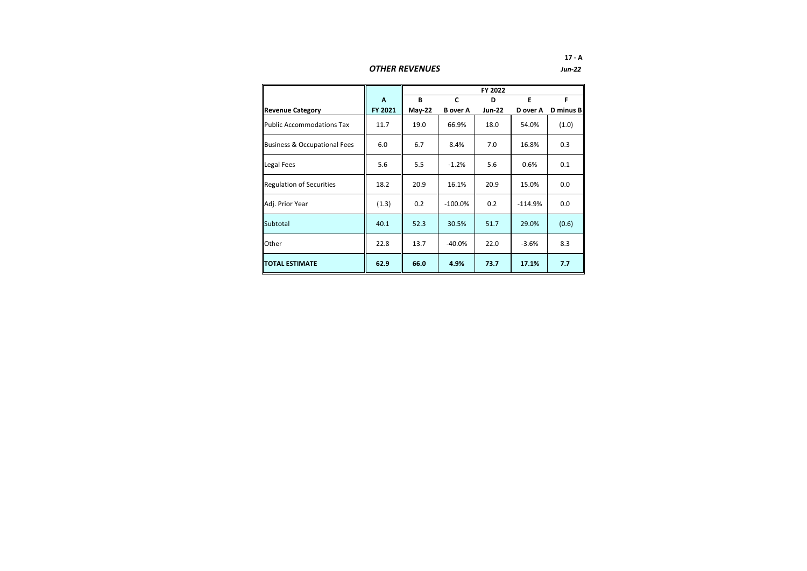*OTHER REVENUES*

|                                  |         |          |                 | FY 2022       |           |           |
|----------------------------------|---------|----------|-----------------|---------------|-----------|-----------|
|                                  | A       | B        | C               | D             | E         | F         |
| <b>Revenue Category</b>          | FY 2021 | $May-22$ | <b>B</b> over A | <b>Jun-22</b> | D over A  | D minus B |
| <b>Public Accommodations Tax</b> | 11.7    | 19.0     | 66.9%           | 18.0          | 54.0%     | (1.0)     |
| Business & Occupational Fees     | 6.0     | 6.7      | 8.4%            | 7.0           | 16.8%     | 0.3       |
| Legal Fees                       | 5.6     | 5.5      | $-1.2%$         | 5.6           | 0.6%      | 0.1       |
| <b>Regulation of Securities</b>  | 18.2    | 20.9     | 16.1%           | 20.9          | 15.0%     | 0.0       |
| Adj. Prior Year                  | (1.3)   | 0.2      | $-100.0\%$      | 0.2           | $-114.9%$ | 0.0       |
| Subtotal                         | 40.1    | 52.3     | 30.5%           | 51.7          | 29.0%     | (0.6)     |
| Other                            | 22.8    | 13.7     | $-40.0%$        | 22.0          | $-3.6%$   | 8.3       |
| <b>ITOTAL ESTIMATE</b>           | 62.9    | 66.0     | 4.9%            | 73.7          | 17.1%     | 7.7       |

**17 - A** *Jun-22*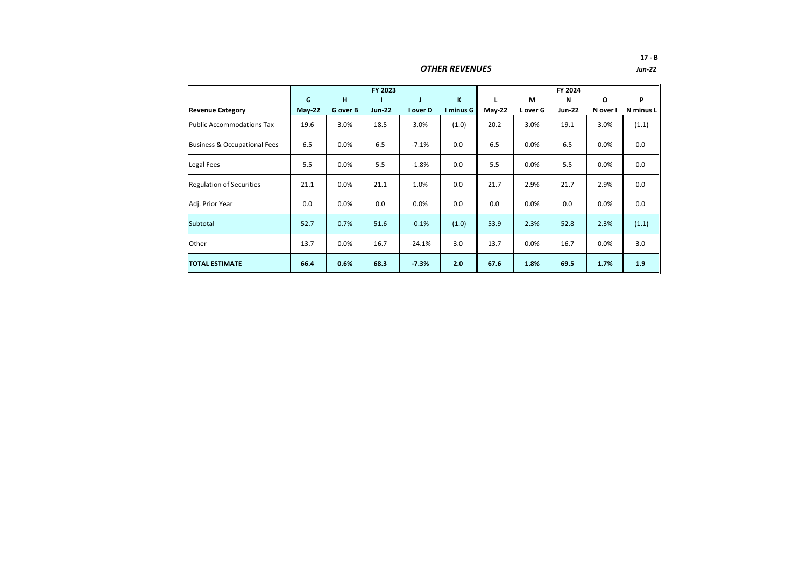*OTHER REVENUES*

|                                         |          |                 | FY 2023       |          |           |        |          | FY 2024       |          |           |
|-----------------------------------------|----------|-----------------|---------------|----------|-----------|--------|----------|---------------|----------|-----------|
|                                         | G        | H               |               |          | K         | L      | M        | N             | $\circ$  | P         |
| <b>Revenue Category</b>                 | $May-22$ | <b>G</b> over B | <b>Jun-22</b> | I over D | I minus G | May-22 | L over G | <b>Jun-22</b> | N over I | N minus L |
| <b>Public Accommodations Tax</b>        | 19.6     | 3.0%            | 18.5          | 3.0%     | (1.0)     | 20.2   | 3.0%     | 19.1          | 3.0%     | (1.1)     |
| <b>Business &amp; Occupational Fees</b> | 6.5      | 0.0%            | 6.5           | $-7.1%$  | 0.0       | 6.5    | 0.0%     | 6.5           | 0.0%     | 0.0       |
| Legal Fees                              | 5.5      | 0.0%            | 5.5           | $-1.8%$  | 0.0       | 5.5    | 0.0%     | 5.5           | 0.0%     | 0.0       |
| <b>Regulation of Securities</b>         | 21.1     | 0.0%            | 21.1          | 1.0%     | 0.0       | 21.7   | 2.9%     | 21.7          | 2.9%     | 0.0       |
| Adj. Prior Year                         | 0.0      | 0.0%            | 0.0           | 0.0%     | 0.0       | 0.0    | 0.0%     | 0.0           | 0.0%     | 0.0       |
| Subtotal                                | 52.7     | 0.7%            | 51.6          | $-0.1%$  | (1.0)     | 53.9   | 2.3%     | 52.8          | 2.3%     | (1.1)     |
| Other                                   | 13.7     | 0.0%            | 16.7          | $-24.1%$ | 3.0       | 13.7   | 0.0%     | 16.7          | $0.0\%$  | 3.0       |
| <b>TOTAL ESTIMATE</b>                   | 66.4     | 0.6%            | 68.3          | $-7.3%$  | 2.0       | 67.6   | 1.8%     | 69.5          | 1.7%     | 1.9       |

**17 - B** *Jun-22*